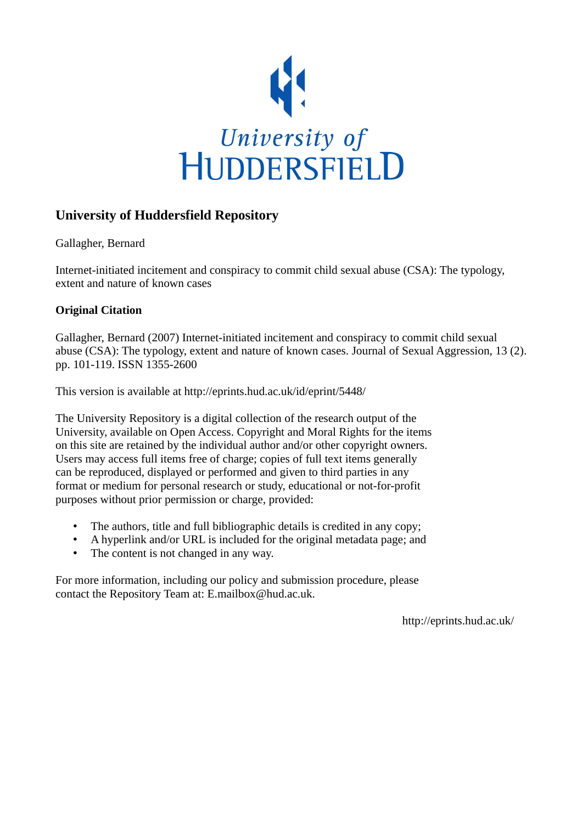

# **University of Huddersfield Repository**

Gallagher, Bernard

Internet-initiated incitement and conspiracy to commit child sexual abuse (CSA): The typology, extent and nature of known cases

# **Original Citation**

Gallagher, Bernard (2007) Internet-initiated incitement and conspiracy to commit child sexual abuse (CSA): The typology, extent and nature of known cases. Journal of Sexual Aggression, 13 (2). pp. 101-119. ISSN 1355-2600

This version is available at http://eprints.hud.ac.uk/id/eprint/5448/

The University Repository is a digital collection of the research output of the University, available on Open Access. Copyright and Moral Rights for the items on this site are retained by the individual author and/or other copyright owners. Users may access full items free of charge; copies of full text items generally can be reproduced, displayed or performed and given to third parties in any format or medium for personal research or study, educational or not-for-profit purposes without prior permission or charge, provided:

- The authors, title and full bibliographic details is credited in any copy;
- A hyperlink and/or URL is included for the original metadata page; and
- The content is not changed in any way.

For more information, including our policy and submission procedure, please contact the Repository Team at: E.mailbox@hud.ac.uk.

http://eprints.hud.ac.uk/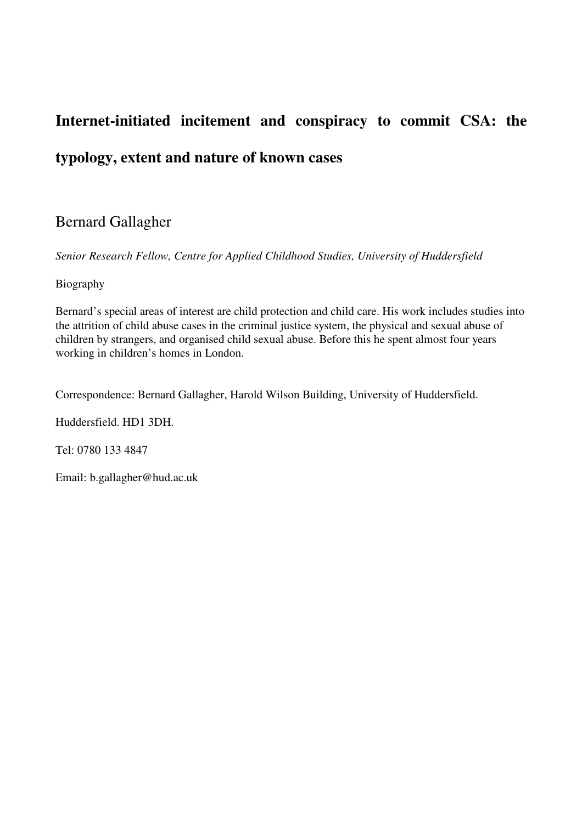# **Internet-initiated incitement and conspiracy to commit CSA: the typology, extent and nature of known cases**

# Bernard Gallagher

*Senior Research Fellow, Centre for Applied Childhood Studies, University of Huddersfield* 

# Biography

Bernard's special areas of interest are child protection and child care. His work includes studies into the attrition of child abuse cases in the criminal justice system, the physical and sexual abuse of children by strangers, and organised child sexual abuse. Before this he spent almost four years working in children's homes in London.

Correspondence: Bernard Gallagher, Harold Wilson Building, University of Huddersfield.

Huddersfield. HD1 3DH.

Tel: 0780 133 4847

Email: b.gallagher@hud.ac.uk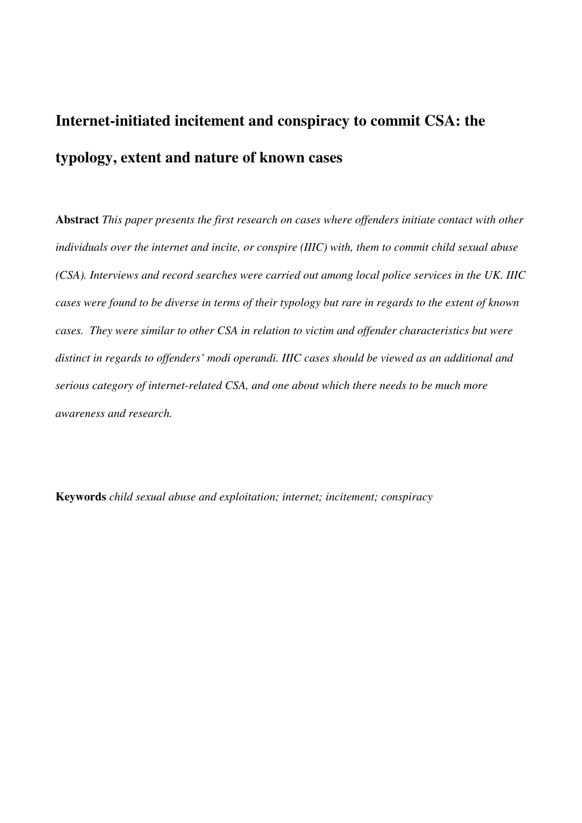# **Internet-initiated incitement and conspiracy to commit CSA: the typology, extent and nature of known cases**

**Abstract** *This paper presents the first research on cases where offenders initiate contact with other individuals over the internet and incite, or conspire (IIIC) with, them to commit child sexual abuse (CSA). Interviews and record searches were carried out among local police services in the UK. IIIC cases were found to be diverse in terms of their typology but rare in regards to the extent of known cases. They were similar to other CSA in relation to victim and offender characteristics but were distinct in regards to offenders' modi operandi. IIIC cases should be viewed as an additional and serious category of internet-related CSA, and one about which there needs to be much more awareness and research.* 

**Keywords** *child sexual abuse and exploitation; internet; incitement; conspiracy*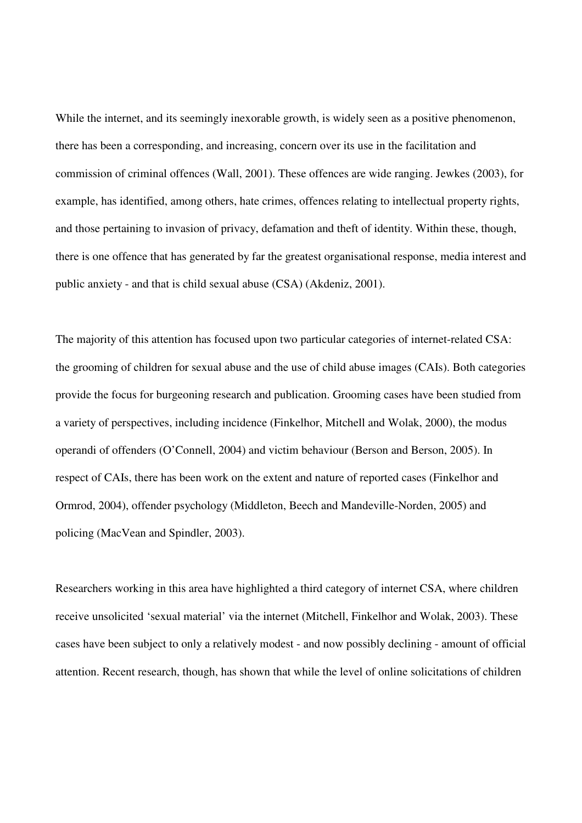While the internet, and its seemingly inexorable growth, is widely seen as a positive phenomenon, there has been a corresponding, and increasing, concern over its use in the facilitation and commission of criminal offences (Wall, 2001). These offences are wide ranging. Jewkes (2003), for example, has identified, among others, hate crimes, offences relating to intellectual property rights, and those pertaining to invasion of privacy, defamation and theft of identity. Within these, though, there is one offence that has generated by far the greatest organisational response, media interest and public anxiety - and that is child sexual abuse (CSA) (Akdeniz, 2001).

The majority of this attention has focused upon two particular categories of internet-related CSA: the grooming of children for sexual abuse and the use of child abuse images (CAIs). Both categories provide the focus for burgeoning research and publication. Grooming cases have been studied from a variety of perspectives, including incidence (Finkelhor, Mitchell and Wolak, 2000), the modus operandi of offenders (O'Connell, 2004) and victim behaviour (Berson and Berson, 2005). In respect of CAIs, there has been work on the extent and nature of reported cases (Finkelhor and Ormrod, 2004), offender psychology (Middleton, Beech and Mandeville-Norden, 2005) and policing (MacVean and Spindler, 2003).

Researchers working in this area have highlighted a third category of internet CSA, where children receive unsolicited 'sexual material' via the internet (Mitchell, Finkelhor and Wolak, 2003). These cases have been subject to only a relatively modest - and now possibly declining - amount of official attention. Recent research, though, has shown that while the level of online solicitations of children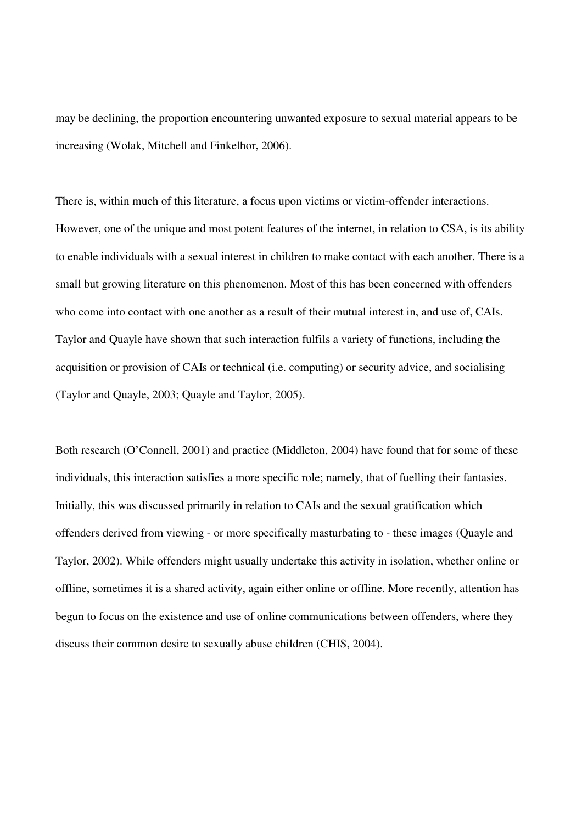may be declining, the proportion encountering unwanted exposure to sexual material appears to be increasing (Wolak, Mitchell and Finkelhor, 2006).

There is, within much of this literature, a focus upon victims or victim-offender interactions. However, one of the unique and most potent features of the internet, in relation to CSA, is its ability to enable individuals with a sexual interest in children to make contact with each another. There is a small but growing literature on this phenomenon. Most of this has been concerned with offenders who come into contact with one another as a result of their mutual interest in, and use of, CAIs. Taylor and Quayle have shown that such interaction fulfils a variety of functions, including the acquisition or provision of CAIs or technical (i.e. computing) or security advice, and socialising (Taylor and Quayle, 2003; Quayle and Taylor, 2005).

Both research (O'Connell, 2001) and practice (Middleton, 2004) have found that for some of these individuals, this interaction satisfies a more specific role; namely, that of fuelling their fantasies. Initially, this was discussed primarily in relation to CAIs and the sexual gratification which offenders derived from viewing - or more specifically masturbating to - these images (Quayle and Taylor, 2002). While offenders might usually undertake this activity in isolation, whether online or offline, sometimes it is a shared activity, again either online or offline. More recently, attention has begun to focus on the existence and use of online communications between offenders, where they discuss their common desire to sexually abuse children (CHIS, 2004).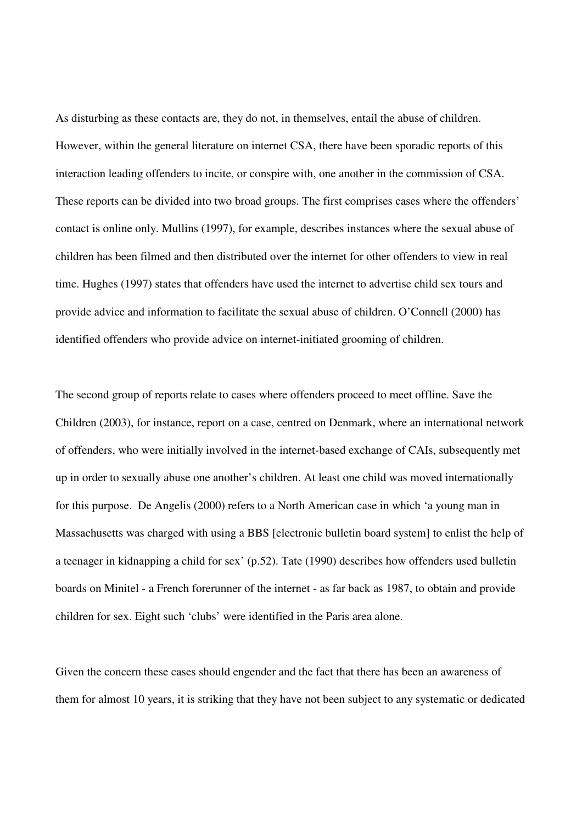As disturbing as these contacts are, they do not, in themselves, entail the abuse of children. However, within the general literature on internet CSA, there have been sporadic reports of this interaction leading offenders to incite, or conspire with, one another in the commission of CSA. These reports can be divided into two broad groups. The first comprises cases where the offenders' contact is online only. Mullins (1997), for example, describes instances where the sexual abuse of children has been filmed and then distributed over the internet for other offenders to view in real time. Hughes (1997) states that offenders have used the internet to advertise child sex tours and provide advice and information to facilitate the sexual abuse of children. O'Connell (2000) has identified offenders who provide advice on internet-initiated grooming of children.

The second group of reports relate to cases where offenders proceed to meet offline. Save the Children (2003), for instance, report on a case, centred on Denmark, where an international network of offenders, who were initially involved in the internet-based exchange of CAIs, subsequently met up in order to sexually abuse one another's children. At least one child was moved internationally for this purpose. De Angelis (2000) refers to a North American case in which 'a young man in Massachusetts was charged with using a BBS [electronic bulletin board system] to enlist the help of a teenager in kidnapping a child for sex' (p.52). Tate (1990) describes how offenders used bulletin boards on Minitel - a French forerunner of the internet - as far back as 1987, to obtain and provide children for sex. Eight such 'clubs' were identified in the Paris area alone.

Given the concern these cases should engender and the fact that there has been an awareness of them for almost 10 years, it is striking that they have not been subject to any systematic or dedicated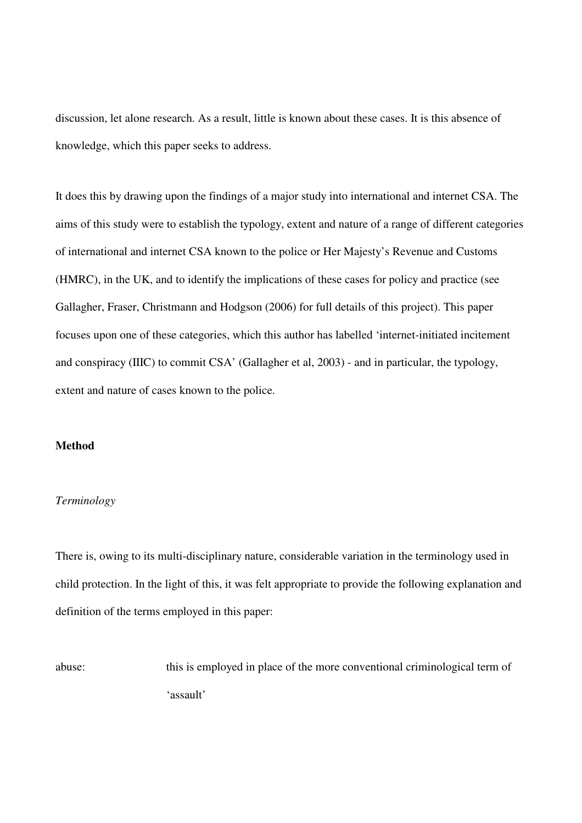discussion, let alone research. As a result, little is known about these cases. It is this absence of knowledge, which this paper seeks to address.

It does this by drawing upon the findings of a major study into international and internet CSA. The aims of this study were to establish the typology, extent and nature of a range of different categories of international and internet CSA known to the police or Her Majesty's Revenue and Customs (HMRC), in the UK, and to identify the implications of these cases for policy and practice (see Gallagher, Fraser, Christmann and Hodgson (2006) for full details of this project). This paper focuses upon one of these categories, which this author has labelled 'internet-initiated incitement and conspiracy (IIIC) to commit CSA' (Gallagher et al, 2003) - and in particular, the typology, extent and nature of cases known to the police.

# **Method**

#### *Terminology*

There is, owing to its multi-disciplinary nature, considerable variation in the terminology used in child protection. In the light of this, it was felt appropriate to provide the following explanation and definition of the terms employed in this paper:

abuse: this is employed in place of the more conventional criminological term of 'assault'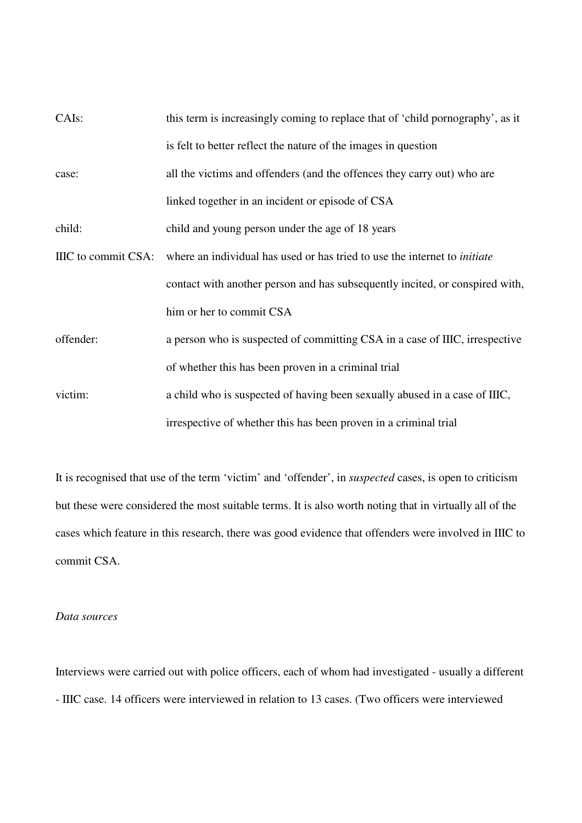| CAIs:               | this term is increasingly coming to replace that of 'child pornography', as it   |  |  |  |
|---------------------|----------------------------------------------------------------------------------|--|--|--|
|                     | is felt to better reflect the nature of the images in question                   |  |  |  |
| case:               | all the victims and offenders (and the offences they carry out) who are          |  |  |  |
|                     | linked together in an incident or episode of CSA                                 |  |  |  |
| child:              | child and young person under the age of 18 years                                 |  |  |  |
| IIIC to commit CSA: | where an individual has used or has tried to use the internet to <i>initiate</i> |  |  |  |
|                     | contact with another person and has subsequently incited, or conspired with,     |  |  |  |
|                     | him or her to commit CSA                                                         |  |  |  |
| offender:           | a person who is suspected of committing CSA in a case of IIIC, irrespective      |  |  |  |
|                     | of whether this has been proven in a criminal trial                              |  |  |  |
| victim:             | a child who is suspected of having been sexually abused in a case of IIIC,       |  |  |  |
|                     | irrespective of whether this has been proven in a criminal trial                 |  |  |  |

It is recognised that use of the term 'victim' and 'offender', in *suspected* cases, is open to criticism but these were considered the most suitable terms. It is also worth noting that in virtually all of the cases which feature in this research, there was good evidence that offenders were involved in IIIC to commit CSA.

# *Data sources*

Interviews were carried out with police officers, each of whom had investigated - usually a different - IIIC case. 14 officers were interviewed in relation to 13 cases. (Two officers were interviewed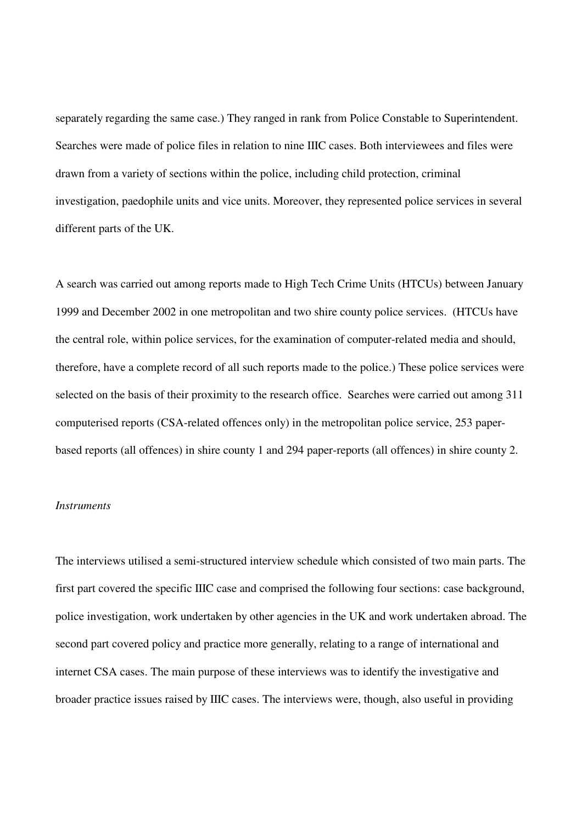separately regarding the same case.) They ranged in rank from Police Constable to Superintendent. Searches were made of police files in relation to nine IIIC cases. Both interviewees and files were drawn from a variety of sections within the police, including child protection, criminal investigation, paedophile units and vice units. Moreover, they represented police services in several different parts of the UK.

A search was carried out among reports made to High Tech Crime Units (HTCUs) between January 1999 and December 2002 in one metropolitan and two shire county police services. (HTCUs have the central role, within police services, for the examination of computer-related media and should, therefore, have a complete record of all such reports made to the police.) These police services were selected on the basis of their proximity to the research office. Searches were carried out among 311 computerised reports (CSA-related offences only) in the metropolitan police service, 253 paperbased reports (all offences) in shire county 1 and 294 paper-reports (all offences) in shire county 2.

#### *Instruments*

The interviews utilised a semi-structured interview schedule which consisted of two main parts. The first part covered the specific IIIC case and comprised the following four sections: case background, police investigation, work undertaken by other agencies in the UK and work undertaken abroad. The second part covered policy and practice more generally, relating to a range of international and internet CSA cases. The main purpose of these interviews was to identify the investigative and broader practice issues raised by IIIC cases. The interviews were, though, also useful in providing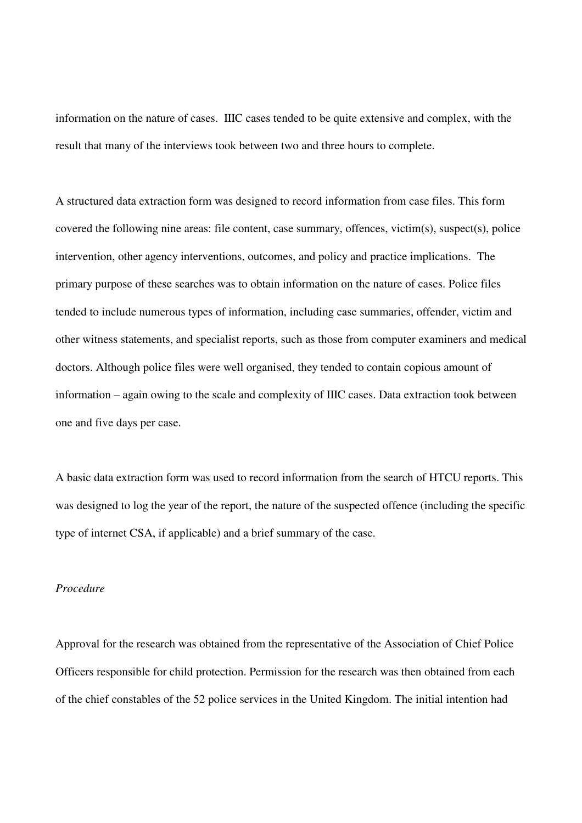information on the nature of cases. IIIC cases tended to be quite extensive and complex, with the result that many of the interviews took between two and three hours to complete.

A structured data extraction form was designed to record information from case files. This form covered the following nine areas: file content, case summary, offences, victim(s), suspect(s), police intervention, other agency interventions, outcomes, and policy and practice implications. The primary purpose of these searches was to obtain information on the nature of cases. Police files tended to include numerous types of information, including case summaries, offender, victim and other witness statements, and specialist reports, such as those from computer examiners and medical doctors. Although police files were well organised, they tended to contain copious amount of information – again owing to the scale and complexity of IIIC cases. Data extraction took between one and five days per case.

A basic data extraction form was used to record information from the search of HTCU reports. This was designed to log the year of the report, the nature of the suspected offence (including the specific type of internet CSA, if applicable) and a brief summary of the case.

# *Procedure*

Approval for the research was obtained from the representative of the Association of Chief Police Officers responsible for child protection. Permission for the research was then obtained from each of the chief constables of the 52 police services in the United Kingdom. The initial intention had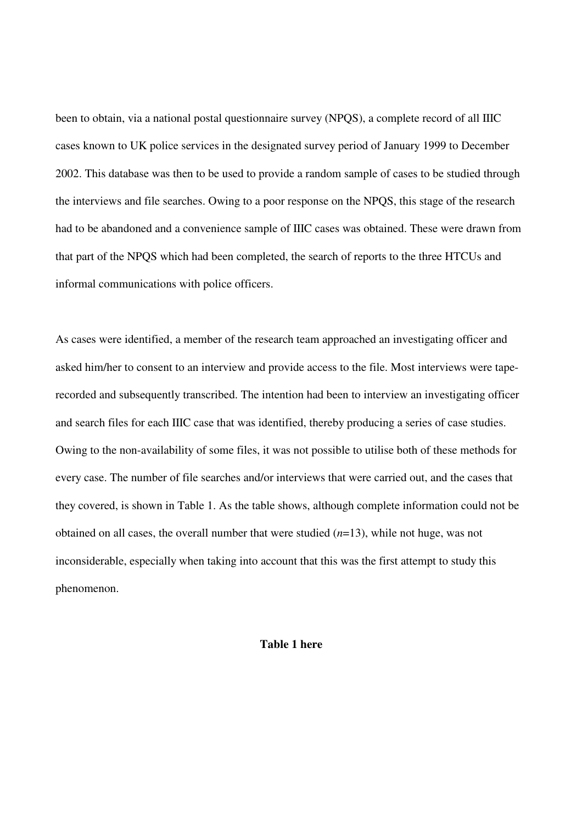been to obtain, via a national postal questionnaire survey (NPQS), a complete record of all IIIC cases known to UK police services in the designated survey period of January 1999 to December 2002. This database was then to be used to provide a random sample of cases to be studied through the interviews and file searches. Owing to a poor response on the NPQS, this stage of the research had to be abandoned and a convenience sample of IIIC cases was obtained. These were drawn from that part of the NPQS which had been completed, the search of reports to the three HTCUs and informal communications with police officers.

As cases were identified, a member of the research team approached an investigating officer and asked him/her to consent to an interview and provide access to the file. Most interviews were taperecorded and subsequently transcribed. The intention had been to interview an investigating officer and search files for each IIIC case that was identified, thereby producing a series of case studies. Owing to the non-availability of some files, it was not possible to utilise both of these methods for every case. The number of file searches and/or interviews that were carried out, and the cases that they covered, is shown in Table 1. As the table shows, although complete information could not be obtained on all cases, the overall number that were studied (*n*=13), while not huge, was not inconsiderable, especially when taking into account that this was the first attempt to study this phenomenon.

## **Table 1 here**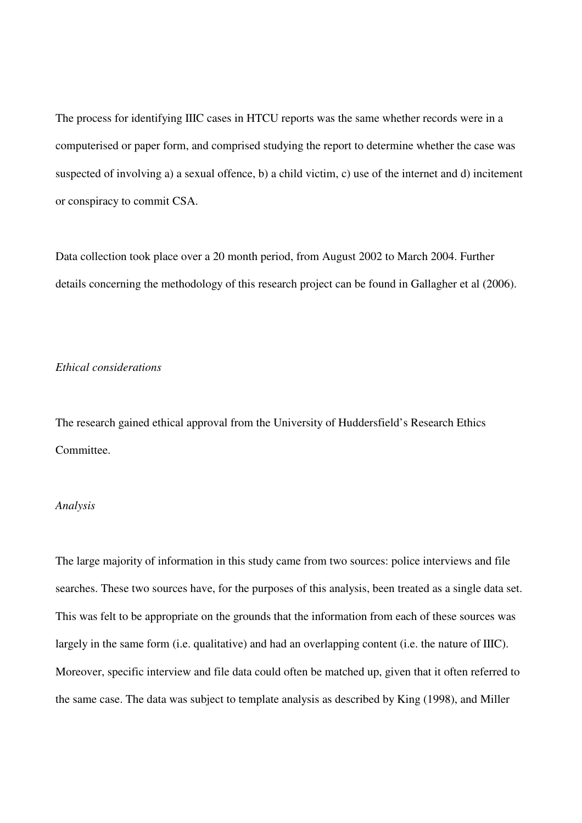The process for identifying IIIC cases in HTCU reports was the same whether records were in a computerised or paper form, and comprised studying the report to determine whether the case was suspected of involving a) a sexual offence, b) a child victim, c) use of the internet and d) incitement or conspiracy to commit CSA.

Data collection took place over a 20 month period, from August 2002 to March 2004. Further details concerning the methodology of this research project can be found in Gallagher et al (2006).

# *Ethical considerations*

The research gained ethical approval from the University of Huddersfield's Research Ethics Committee.

#### *Analysis*

The large majority of information in this study came from two sources: police interviews and file searches. These two sources have, for the purposes of this analysis, been treated as a single data set. This was felt to be appropriate on the grounds that the information from each of these sources was largely in the same form (i.e. qualitative) and had an overlapping content (i.e. the nature of IIIC). Moreover, specific interview and file data could often be matched up, given that it often referred to the same case. The data was subject to template analysis as described by King (1998), and Miller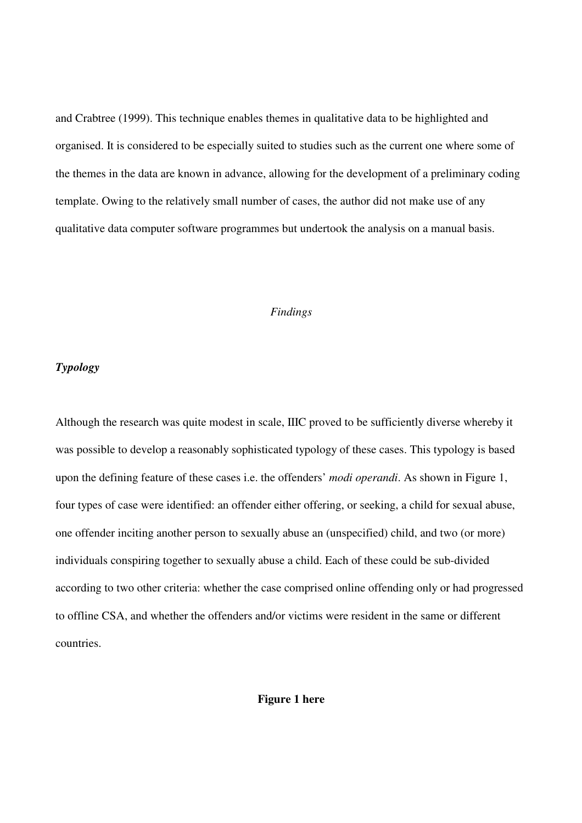and Crabtree (1999). This technique enables themes in qualitative data to be highlighted and organised. It is considered to be especially suited to studies such as the current one where some of the themes in the data are known in advance, allowing for the development of a preliminary coding template. Owing to the relatively small number of cases, the author did not make use of any qualitative data computer software programmes but undertook the analysis on a manual basis.

# *Findings*

#### *Typology*

Although the research was quite modest in scale, IIIC proved to be sufficiently diverse whereby it was possible to develop a reasonably sophisticated typology of these cases. This typology is based upon the defining feature of these cases i.e. the offenders' *modi operandi*. As shown in Figure 1, four types of case were identified: an offender either offering, or seeking, a child for sexual abuse, one offender inciting another person to sexually abuse an (unspecified) child, and two (or more) individuals conspiring together to sexually abuse a child. Each of these could be sub-divided according to two other criteria: whether the case comprised online offending only or had progressed to offline CSA, and whether the offenders and/or victims were resident in the same or different countries.

# **Figure 1 here**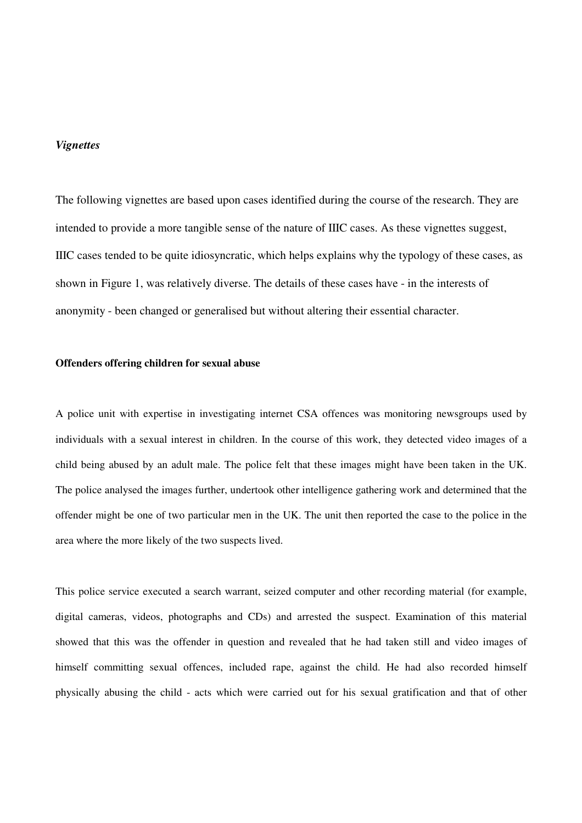#### *Vignettes*

The following vignettes are based upon cases identified during the course of the research. They are intended to provide a more tangible sense of the nature of IIIC cases. As these vignettes suggest, IIIC cases tended to be quite idiosyncratic, which helps explains why the typology of these cases, as shown in Figure 1, was relatively diverse. The details of these cases have - in the interests of anonymity - been changed or generalised but without altering their essential character.

### **Offenders offering children for sexual abuse**

A police unit with expertise in investigating internet CSA offences was monitoring newsgroups used by individuals with a sexual interest in children. In the course of this work, they detected video images of a child being abused by an adult male. The police felt that these images might have been taken in the UK. The police analysed the images further, undertook other intelligence gathering work and determined that the offender might be one of two particular men in the UK. The unit then reported the case to the police in the area where the more likely of the two suspects lived.

This police service executed a search warrant, seized computer and other recording material (for example, digital cameras, videos, photographs and CDs) and arrested the suspect. Examination of this material showed that this was the offender in question and revealed that he had taken still and video images of himself committing sexual offences, included rape, against the child. He had also recorded himself physically abusing the child - acts which were carried out for his sexual gratification and that of other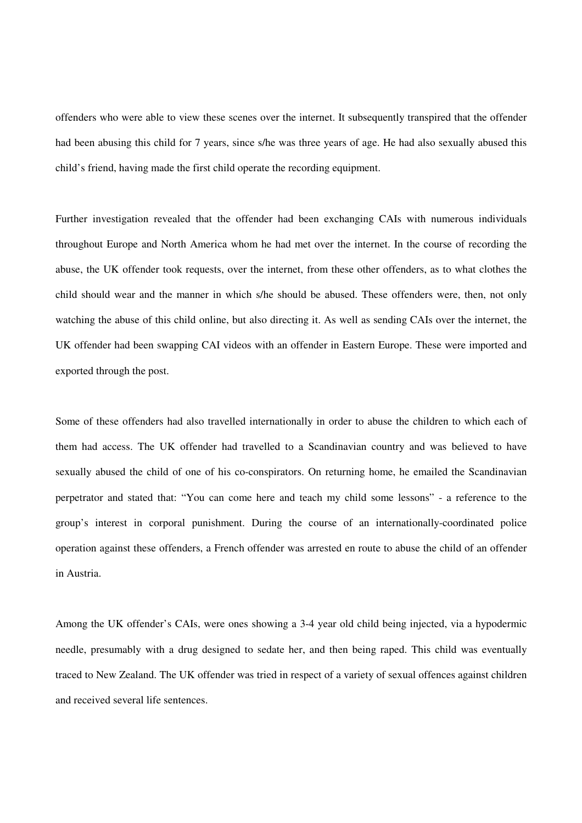offenders who were able to view these scenes over the internet. It subsequently transpired that the offender had been abusing this child for 7 years, since s/he was three years of age. He had also sexually abused this child's friend, having made the first child operate the recording equipment.

Further investigation revealed that the offender had been exchanging CAIs with numerous individuals throughout Europe and North America whom he had met over the internet. In the course of recording the abuse, the UK offender took requests, over the internet, from these other offenders, as to what clothes the child should wear and the manner in which s/he should be abused. These offenders were, then, not only watching the abuse of this child online, but also directing it. As well as sending CAIs over the internet, the UK offender had been swapping CAI videos with an offender in Eastern Europe. These were imported and exported through the post.

Some of these offenders had also travelled internationally in order to abuse the children to which each of them had access. The UK offender had travelled to a Scandinavian country and was believed to have sexually abused the child of one of his co-conspirators. On returning home, he emailed the Scandinavian perpetrator and stated that: "You can come here and teach my child some lessons" - a reference to the group's interest in corporal punishment. During the course of an internationally-coordinated police operation against these offenders, a French offender was arrested en route to abuse the child of an offender in Austria.

Among the UK offender's CAIs, were ones showing a 3-4 year old child being injected, via a hypodermic needle, presumably with a drug designed to sedate her, and then being raped. This child was eventually traced to New Zealand. The UK offender was tried in respect of a variety of sexual offences against children and received several life sentences.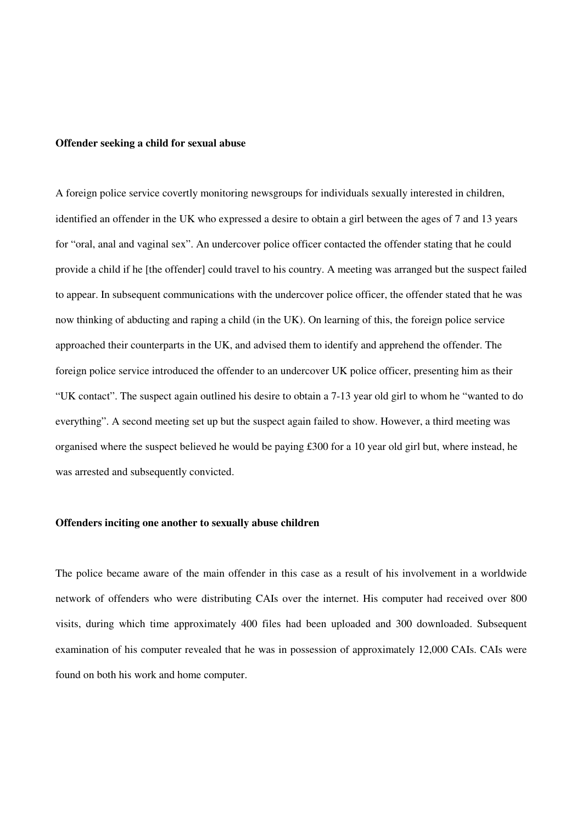#### **Offender seeking a child for sexual abuse**

A foreign police service covertly monitoring newsgroups for individuals sexually interested in children, identified an offender in the UK who expressed a desire to obtain a girl between the ages of 7 and 13 years for "oral, anal and vaginal sex". An undercover police officer contacted the offender stating that he could provide a child if he [the offender] could travel to his country. A meeting was arranged but the suspect failed to appear. In subsequent communications with the undercover police officer, the offender stated that he was now thinking of abducting and raping a child (in the UK). On learning of this, the foreign police service approached their counterparts in the UK, and advised them to identify and apprehend the offender. The foreign police service introduced the offender to an undercover UK police officer, presenting him as their "UK contact". The suspect again outlined his desire to obtain a 7-13 year old girl to whom he "wanted to do everything". A second meeting set up but the suspect again failed to show. However, a third meeting was organised where the suspect believed he would be paying £300 for a 10 year old girl but, where instead, he was arrested and subsequently convicted.

#### **Offenders inciting one another to sexually abuse children**

The police became aware of the main offender in this case as a result of his involvement in a worldwide network of offenders who were distributing CAIs over the internet. His computer had received over 800 visits, during which time approximately 400 files had been uploaded and 300 downloaded. Subsequent examination of his computer revealed that he was in possession of approximately 12,000 CAIs. CAIs were found on both his work and home computer.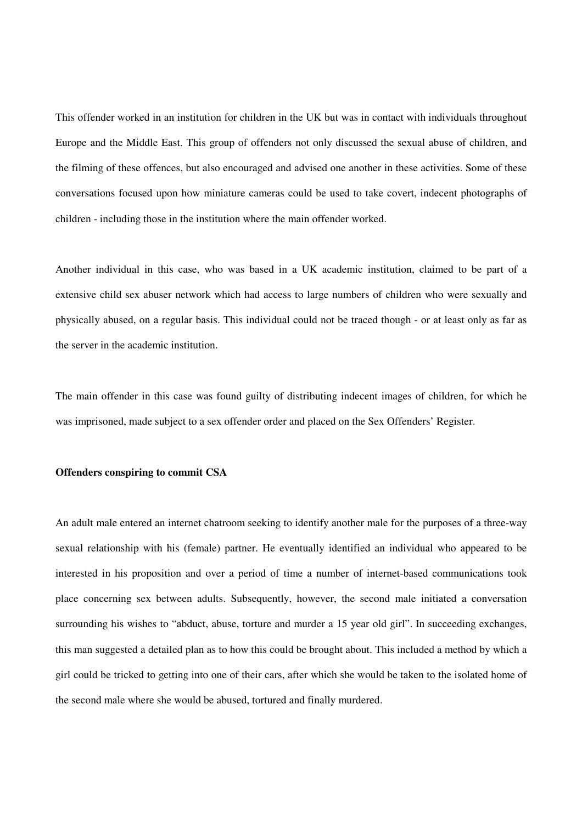This offender worked in an institution for children in the UK but was in contact with individuals throughout Europe and the Middle East. This group of offenders not only discussed the sexual abuse of children, and the filming of these offences, but also encouraged and advised one another in these activities. Some of these conversations focused upon how miniature cameras could be used to take covert, indecent photographs of children - including those in the institution where the main offender worked.

Another individual in this case, who was based in a UK academic institution, claimed to be part of a extensive child sex abuser network which had access to large numbers of children who were sexually and physically abused, on a regular basis. This individual could not be traced though - or at least only as far as the server in the academic institution.

The main offender in this case was found guilty of distributing indecent images of children, for which he was imprisoned, made subject to a sex offender order and placed on the Sex Offenders' Register.

#### **Offenders conspiring to commit CSA**

An adult male entered an internet chatroom seeking to identify another male for the purposes of a three-way sexual relationship with his (female) partner. He eventually identified an individual who appeared to be interested in his proposition and over a period of time a number of internet-based communications took place concerning sex between adults. Subsequently, however, the second male initiated a conversation surrounding his wishes to "abduct, abuse, torture and murder a 15 year old girl". In succeeding exchanges, this man suggested a detailed plan as to how this could be brought about. This included a method by which a girl could be tricked to getting into one of their cars, after which she would be taken to the isolated home of the second male where she would be abused, tortured and finally murdered.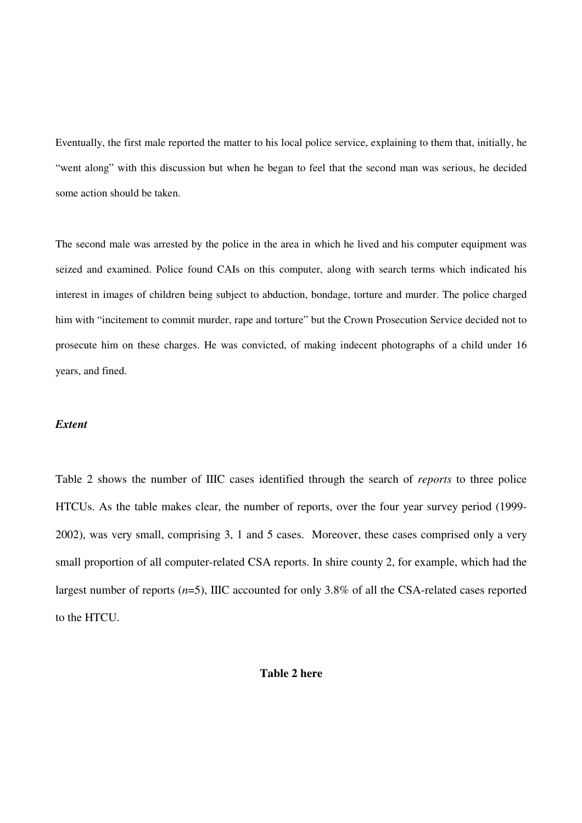Eventually, the first male reported the matter to his local police service, explaining to them that, initially, he "went along" with this discussion but when he began to feel that the second man was serious, he decided some action should be taken.

The second male was arrested by the police in the area in which he lived and his computer equipment was seized and examined. Police found CAIs on this computer, along with search terms which indicated his interest in images of children being subject to abduction, bondage, torture and murder. The police charged him with "incitement to commit murder, rape and torture" but the Crown Prosecution Service decided not to prosecute him on these charges. He was convicted, of making indecent photographs of a child under 16 years, and fined.

#### *Extent*

Table 2 shows the number of IIIC cases identified through the search of *reports* to three police HTCUs. As the table makes clear, the number of reports, over the four year survey period (1999- 2002), was very small, comprising 3, 1 and 5 cases. Moreover, these cases comprised only a very small proportion of all computer-related CSA reports. In shire county 2, for example, which had the largest number of reports (*n*=5), IIIC accounted for only 3.8% of all the CSA-related cases reported to the HTCU.

# **Table 2 here**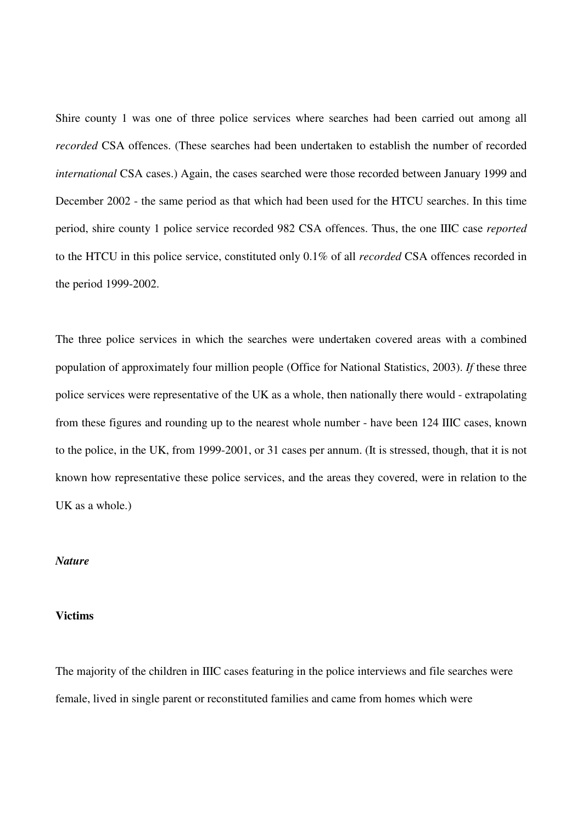Shire county 1 was one of three police services where searches had been carried out among all *recorded* CSA offences. (These searches had been undertaken to establish the number of recorded *international* CSA cases.) Again, the cases searched were those recorded between January 1999 and December 2002 - the same period as that which had been used for the HTCU searches. In this time period, shire county 1 police service recorded 982 CSA offences. Thus, the one IIIC case *reported* to the HTCU in this police service, constituted only 0.1% of all *recorded* CSA offences recorded in the period 1999-2002.

The three police services in which the searches were undertaken covered areas with a combined population of approximately four million people (Office for National Statistics, 2003). *If* these three police services were representative of the UK as a whole, then nationally there would - extrapolating from these figures and rounding up to the nearest whole number - have been 124 IIIC cases, known to the police, in the UK, from 1999-2001, or 31 cases per annum. (It is stressed, though, that it is not known how representative these police services, and the areas they covered, were in relation to the UK as a whole.)

#### *Nature*

## **Victims**

The majority of the children in IIIC cases featuring in the police interviews and file searches were female, lived in single parent or reconstituted families and came from homes which were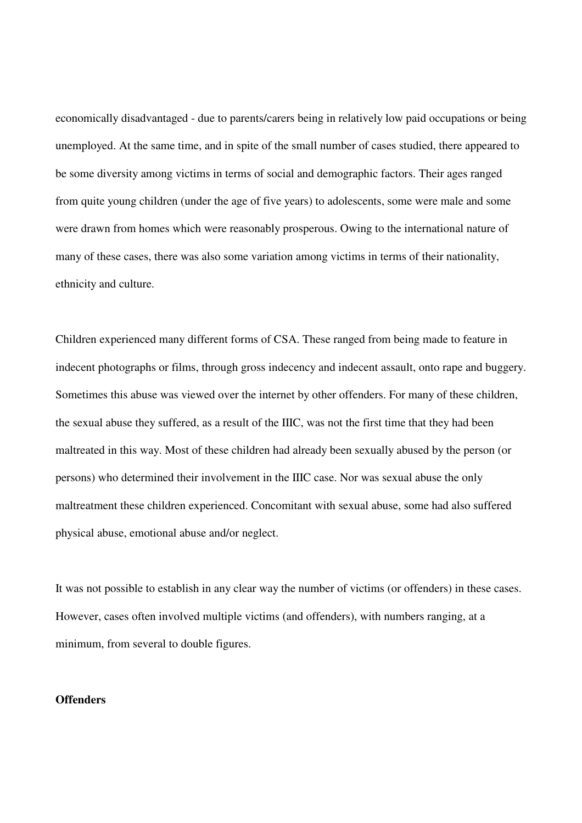economically disadvantaged - due to parents/carers being in relatively low paid occupations or being unemployed. At the same time, and in spite of the small number of cases studied, there appeared to be some diversity among victims in terms of social and demographic factors. Their ages ranged from quite young children (under the age of five years) to adolescents, some were male and some were drawn from homes which were reasonably prosperous. Owing to the international nature of many of these cases, there was also some variation among victims in terms of their nationality, ethnicity and culture.

Children experienced many different forms of CSA. These ranged from being made to feature in indecent photographs or films, through gross indecency and indecent assault, onto rape and buggery. Sometimes this abuse was viewed over the internet by other offenders. For many of these children, the sexual abuse they suffered, as a result of the IIIC, was not the first time that they had been maltreated in this way. Most of these children had already been sexually abused by the person (or persons) who determined their involvement in the IIIC case. Nor was sexual abuse the only maltreatment these children experienced. Concomitant with sexual abuse, some had also suffered physical abuse, emotional abuse and/or neglect.

It was not possible to establish in any clear way the number of victims (or offenders) in these cases. However, cases often involved multiple victims (and offenders), with numbers ranging, at a minimum, from several to double figures.

# **Offenders**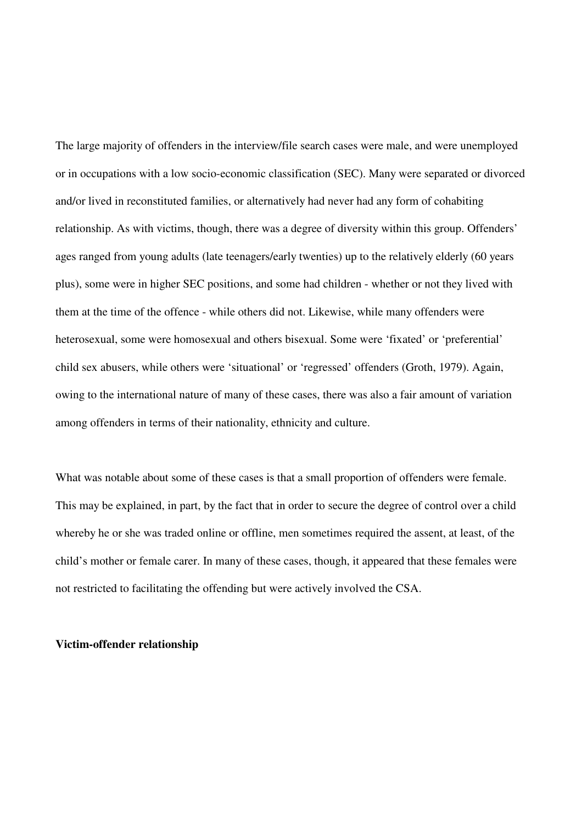The large majority of offenders in the interview/file search cases were male, and were unemployed or in occupations with a low socio-economic classification (SEC). Many were separated or divorced and/or lived in reconstituted families, or alternatively had never had any form of cohabiting relationship. As with victims, though, there was a degree of diversity within this group. Offenders' ages ranged from young adults (late teenagers/early twenties) up to the relatively elderly (60 years plus), some were in higher SEC positions, and some had children - whether or not they lived with them at the time of the offence - while others did not. Likewise, while many offenders were heterosexual, some were homosexual and others bisexual. Some were 'fixated' or 'preferential' child sex abusers, while others were 'situational' or 'regressed' offenders (Groth, 1979). Again, owing to the international nature of many of these cases, there was also a fair amount of variation among offenders in terms of their nationality, ethnicity and culture.

What was notable about some of these cases is that a small proportion of offenders were female. This may be explained, in part, by the fact that in order to secure the degree of control over a child whereby he or she was traded online or offline, men sometimes required the assent, at least, of the child's mother or female carer. In many of these cases, though, it appeared that these females were not restricted to facilitating the offending but were actively involved the CSA.

#### **Victim-offender relationship**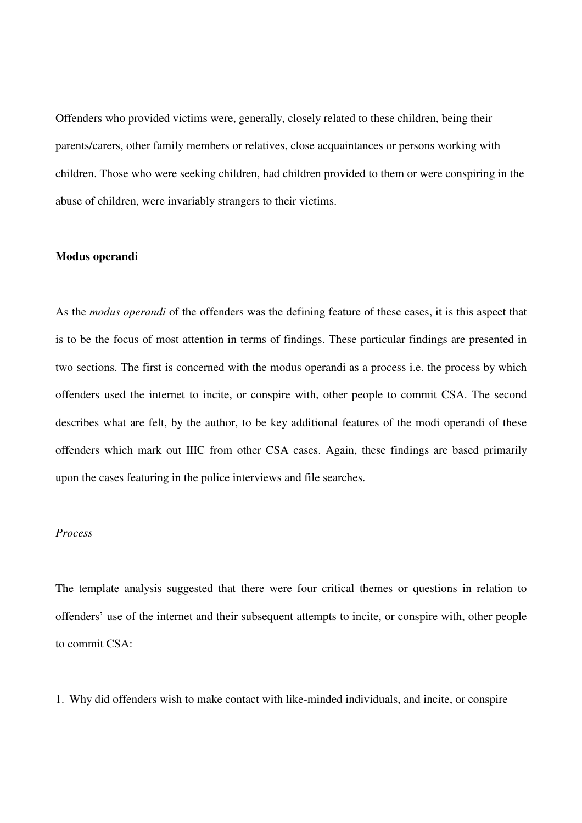Offenders who provided victims were, generally, closely related to these children, being their parents/carers, other family members or relatives, close acquaintances or persons working with children. Those who were seeking children, had children provided to them or were conspiring in the abuse of children, were invariably strangers to their victims.

#### **Modus operandi**

As the *modus operandi* of the offenders was the defining feature of these cases, it is this aspect that is to be the focus of most attention in terms of findings. These particular findings are presented in two sections. The first is concerned with the modus operandi as a process i.e. the process by which offenders used the internet to incite, or conspire with, other people to commit CSA. The second describes what are felt, by the author, to be key additional features of the modi operandi of these offenders which mark out IIIC from other CSA cases. Again, these findings are based primarily upon the cases featuring in the police interviews and file searches.

# *Process*

The template analysis suggested that there were four critical themes or questions in relation to offenders' use of the internet and their subsequent attempts to incite, or conspire with, other people to commit CSA:

1. Why did offenders wish to make contact with like-minded individuals, and incite, or conspire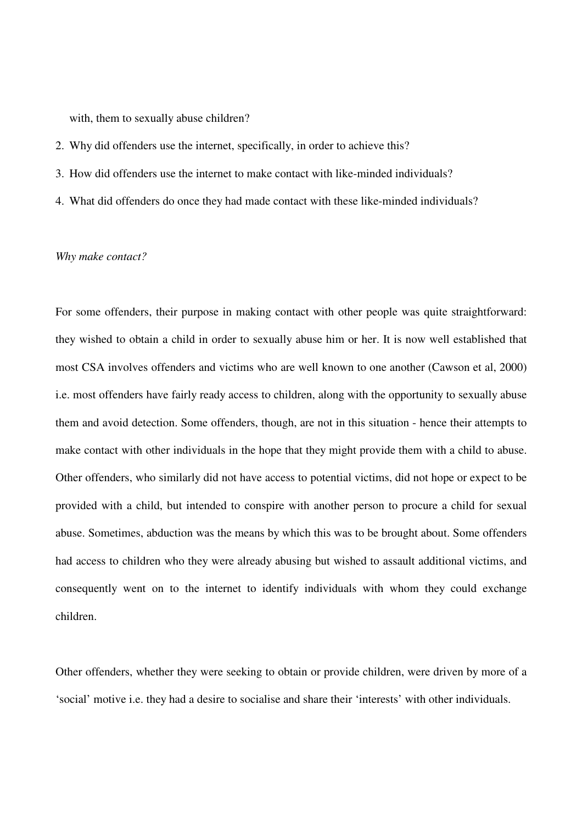with, them to sexually abuse children?

- 2. Why did offenders use the internet, specifically, in order to achieve this?
- 3. How did offenders use the internet to make contact with like-minded individuals?
- 4. What did offenders do once they had made contact with these like-minded individuals?

#### *Why make contact?*

For some offenders, their purpose in making contact with other people was quite straightforward: they wished to obtain a child in order to sexually abuse him or her. It is now well established that most CSA involves offenders and victims who are well known to one another (Cawson et al, 2000) i.e. most offenders have fairly ready access to children, along with the opportunity to sexually abuse them and avoid detection. Some offenders, though, are not in this situation - hence their attempts to make contact with other individuals in the hope that they might provide them with a child to abuse. Other offenders, who similarly did not have access to potential victims, did not hope or expect to be provided with a child, but intended to conspire with another person to procure a child for sexual abuse. Sometimes, abduction was the means by which this was to be brought about. Some offenders had access to children who they were already abusing but wished to assault additional victims, and consequently went on to the internet to identify individuals with whom they could exchange children.

Other offenders, whether they were seeking to obtain or provide children, were driven by more of a 'social' motive i.e. they had a desire to socialise and share their 'interests' with other individuals.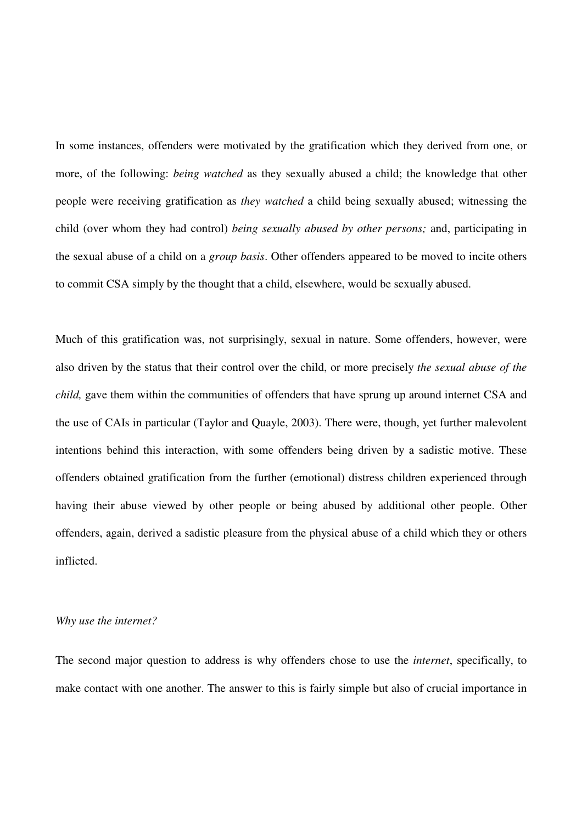In some instances, offenders were motivated by the gratification which they derived from one, or more, of the following: *being watched* as they sexually abused a child; the knowledge that other people were receiving gratification as *they watched* a child being sexually abused; witnessing the child (over whom they had control) *being sexually abused by other persons;* and, participating in the sexual abuse of a child on a *group basis*. Other offenders appeared to be moved to incite others to commit CSA simply by the thought that a child, elsewhere, would be sexually abused.

Much of this gratification was, not surprisingly, sexual in nature. Some offenders, however, were also driven by the status that their control over the child, or more precisely *the sexual abuse of the child,* gave them within the communities of offenders that have sprung up around internet CSA and the use of CAIs in particular (Taylor and Quayle, 2003). There were, though, yet further malevolent intentions behind this interaction, with some offenders being driven by a sadistic motive. These offenders obtained gratification from the further (emotional) distress children experienced through having their abuse viewed by other people or being abused by additional other people. Other offenders, again, derived a sadistic pleasure from the physical abuse of a child which they or others inflicted.

#### *Why use the internet?*

The second major question to address is why offenders chose to use the *internet*, specifically, to make contact with one another. The answer to this is fairly simple but also of crucial importance in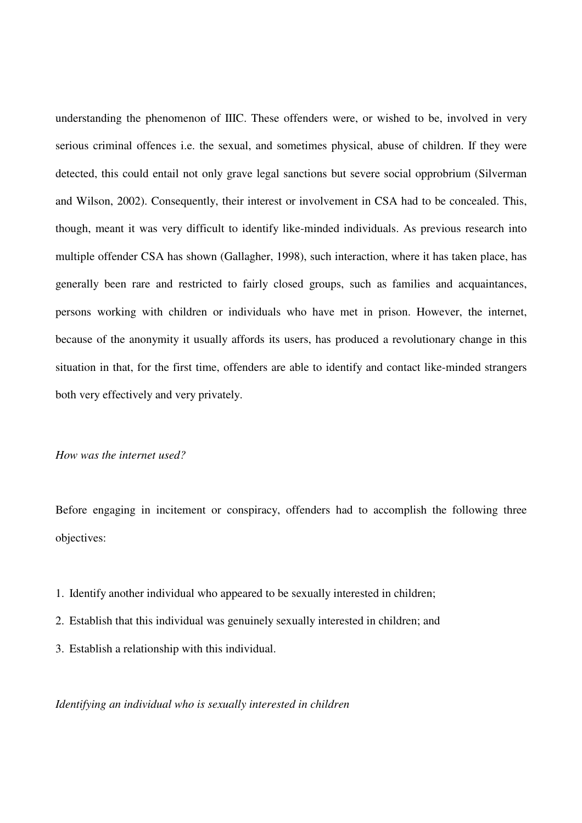understanding the phenomenon of IIIC. These offenders were, or wished to be, involved in very serious criminal offences i.e. the sexual, and sometimes physical, abuse of children. If they were detected, this could entail not only grave legal sanctions but severe social opprobrium (Silverman and Wilson, 2002). Consequently, their interest or involvement in CSA had to be concealed. This, though, meant it was very difficult to identify like-minded individuals. As previous research into multiple offender CSA has shown (Gallagher, 1998), such interaction, where it has taken place, has generally been rare and restricted to fairly closed groups, such as families and acquaintances, persons working with children or individuals who have met in prison. However, the internet, because of the anonymity it usually affords its users, has produced a revolutionary change in this situation in that, for the first time, offenders are able to identify and contact like-minded strangers both very effectively and very privately.

# *How was the internet used?*

Before engaging in incitement or conspiracy, offenders had to accomplish the following three objectives:

- 1. Identify another individual who appeared to be sexually interested in children;
- 2. Establish that this individual was genuinely sexually interested in children; and
- 3. Establish a relationship with this individual.

#### *Identifying an individual who is sexually interested in children*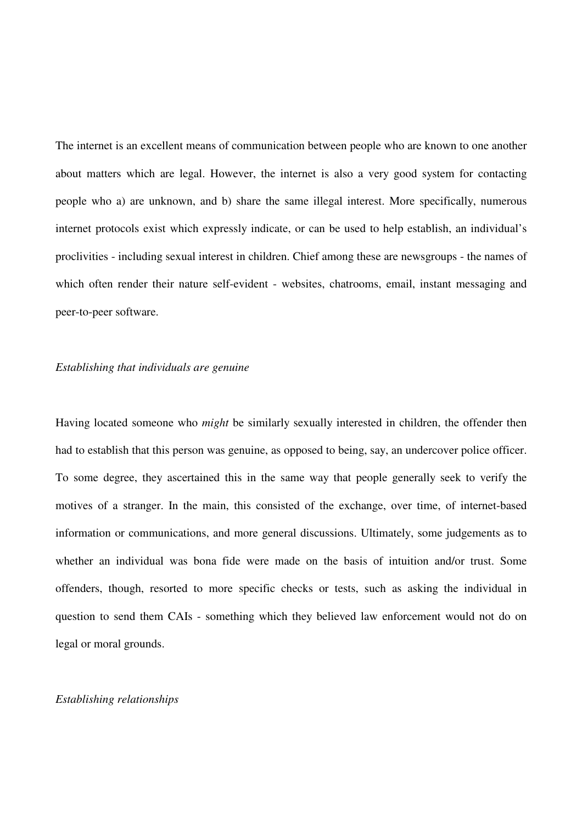The internet is an excellent means of communication between people who are known to one another about matters which are legal. However, the internet is also a very good system for contacting people who a) are unknown, and b) share the same illegal interest. More specifically, numerous internet protocols exist which expressly indicate, or can be used to help establish, an individual's proclivities - including sexual interest in children. Chief among these are newsgroups - the names of which often render their nature self-evident - websites, chatrooms, email, instant messaging and peer-to-peer software.

#### *Establishing that individuals are genuine*

Having located someone who *might* be similarly sexually interested in children, the offender then had to establish that this person was genuine, as opposed to being, say, an undercover police officer. To some degree, they ascertained this in the same way that people generally seek to verify the motives of a stranger. In the main, this consisted of the exchange, over time, of internet-based information or communications, and more general discussions. Ultimately, some judgements as to whether an individual was bona fide were made on the basis of intuition and/or trust. Some offenders, though, resorted to more specific checks or tests, such as asking the individual in question to send them CAIs - something which they believed law enforcement would not do on legal or moral grounds.

#### *Establishing relationships*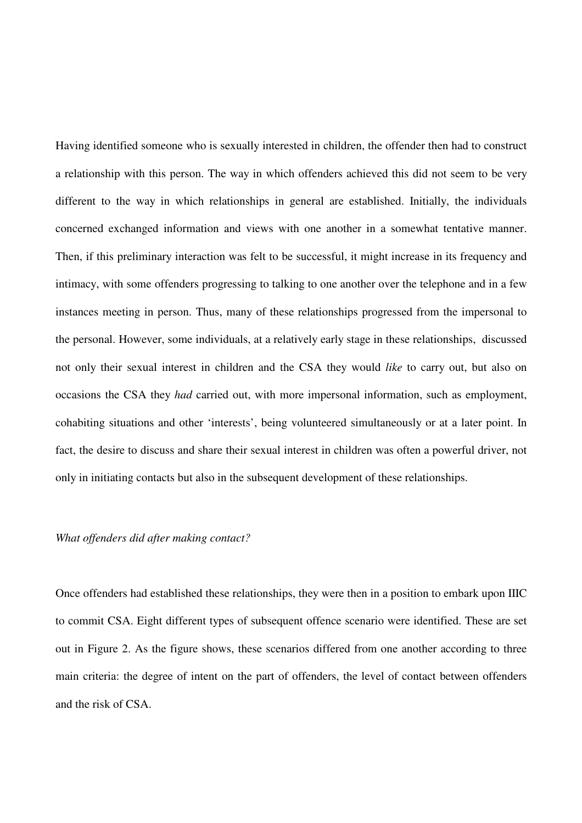Having identified someone who is sexually interested in children, the offender then had to construct a relationship with this person. The way in which offenders achieved this did not seem to be very different to the way in which relationships in general are established. Initially, the individuals concerned exchanged information and views with one another in a somewhat tentative manner. Then, if this preliminary interaction was felt to be successful, it might increase in its frequency and intimacy, with some offenders progressing to talking to one another over the telephone and in a few instances meeting in person. Thus, many of these relationships progressed from the impersonal to the personal. However, some individuals, at a relatively early stage in these relationships, discussed not only their sexual interest in children and the CSA they would *like* to carry out, but also on occasions the CSA they *had* carried out, with more impersonal information, such as employment, cohabiting situations and other 'interests', being volunteered simultaneously or at a later point. In fact, the desire to discuss and share their sexual interest in children was often a powerful driver, not only in initiating contacts but also in the subsequent development of these relationships.

# *What offenders did after making contact?*

Once offenders had established these relationships, they were then in a position to embark upon IIIC to commit CSA. Eight different types of subsequent offence scenario were identified. These are set out in Figure 2. As the figure shows, these scenarios differed from one another according to three main criteria: the degree of intent on the part of offenders, the level of contact between offenders and the risk of CSA.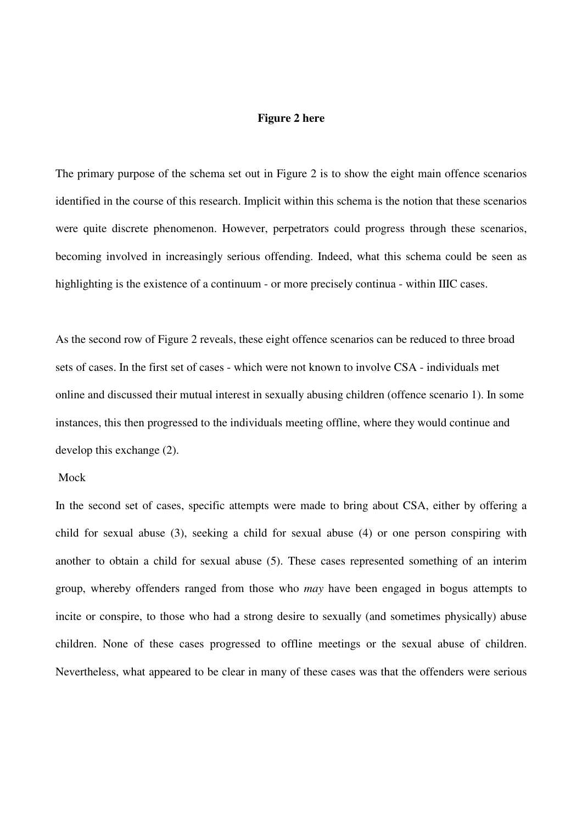#### **Figure 2 here**

The primary purpose of the schema set out in Figure 2 is to show the eight main offence scenarios identified in the course of this research. Implicit within this schema is the notion that these scenarios were quite discrete phenomenon. However, perpetrators could progress through these scenarios, becoming involved in increasingly serious offending. Indeed, what this schema could be seen as highlighting is the existence of a continuum - or more precisely continua - within IIIC cases.

As the second row of Figure 2 reveals, these eight offence scenarios can be reduced to three broad sets of cases. In the first set of cases - which were not known to involve CSA - individuals met online and discussed their mutual interest in sexually abusing children (offence scenario 1). In some instances, this then progressed to the individuals meeting offline, where they would continue and develop this exchange (2).

#### Mock

In the second set of cases, specific attempts were made to bring about CSA, either by offering a child for sexual abuse (3), seeking a child for sexual abuse (4) or one person conspiring with another to obtain a child for sexual abuse (5). These cases represented something of an interim group, whereby offenders ranged from those who *may* have been engaged in bogus attempts to incite or conspire, to those who had a strong desire to sexually (and sometimes physically) abuse children. None of these cases progressed to offline meetings or the sexual abuse of children. Nevertheless, what appeared to be clear in many of these cases was that the offenders were serious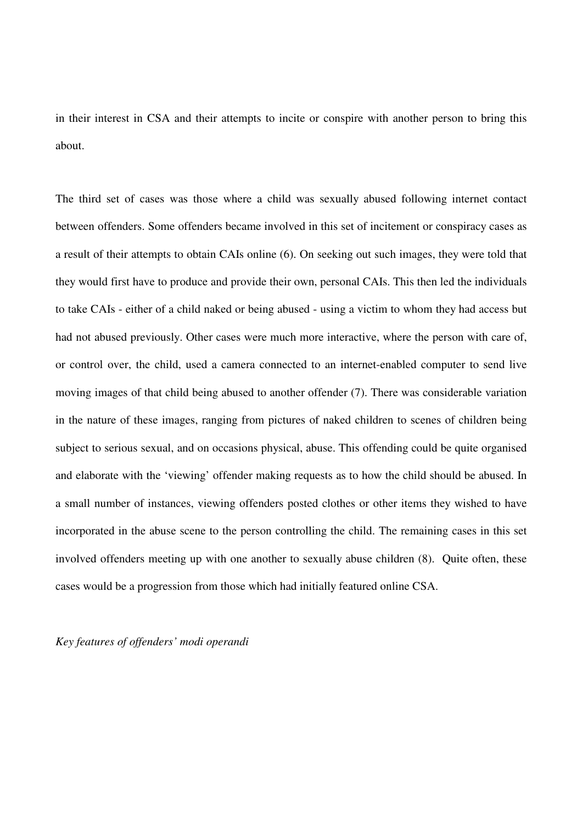in their interest in CSA and their attempts to incite or conspire with another person to bring this about.

The third set of cases was those where a child was sexually abused following internet contact between offenders. Some offenders became involved in this set of incitement or conspiracy cases as a result of their attempts to obtain CAIs online (6). On seeking out such images, they were told that they would first have to produce and provide their own, personal CAIs. This then led the individuals to take CAIs - either of a child naked or being abused - using a victim to whom they had access but had not abused previously. Other cases were much more interactive, where the person with care of, or control over, the child, used a camera connected to an internet-enabled computer to send live moving images of that child being abused to another offender (7). There was considerable variation in the nature of these images, ranging from pictures of naked children to scenes of children being subject to serious sexual, and on occasions physical, abuse. This offending could be quite organised and elaborate with the 'viewing' offender making requests as to how the child should be abused. In a small number of instances, viewing offenders posted clothes or other items they wished to have incorporated in the abuse scene to the person controlling the child. The remaining cases in this set involved offenders meeting up with one another to sexually abuse children (8). Quite often, these cases would be a progression from those which had initially featured online CSA.

*Key features of offenders' modi operandi*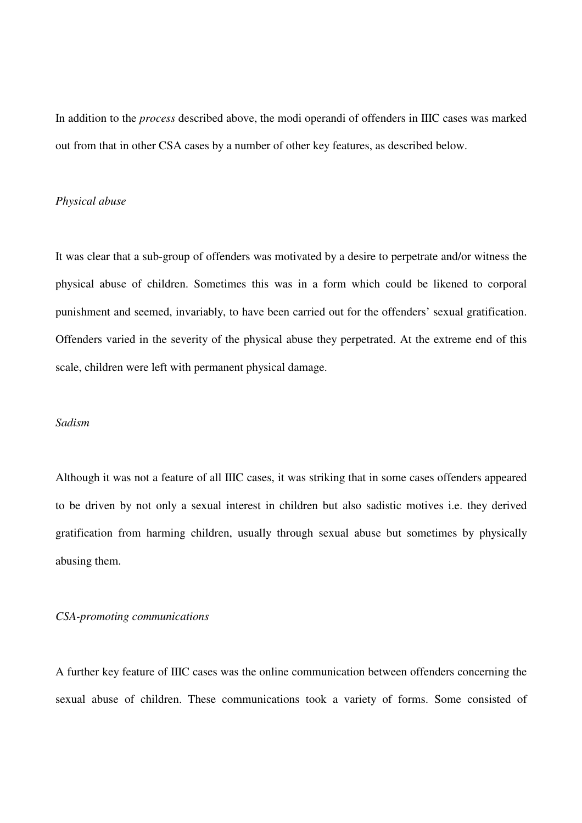In addition to the *process* described above, the modi operandi of offenders in IIIC cases was marked out from that in other CSA cases by a number of other key features, as described below.

# *Physical abuse*

It was clear that a sub-group of offenders was motivated by a desire to perpetrate and/or witness the physical abuse of children. Sometimes this was in a form which could be likened to corporal punishment and seemed, invariably, to have been carried out for the offenders' sexual gratification. Offenders varied in the severity of the physical abuse they perpetrated. At the extreme end of this scale, children were left with permanent physical damage.

# *Sadism*

Although it was not a feature of all IIIC cases, it was striking that in some cases offenders appeared to be driven by not only a sexual interest in children but also sadistic motives i.e. they derived gratification from harming children, usually through sexual abuse but sometimes by physically abusing them.

# *CSA-promoting communications*

A further key feature of IIIC cases was the online communication between offenders concerning the sexual abuse of children. These communications took a variety of forms. Some consisted of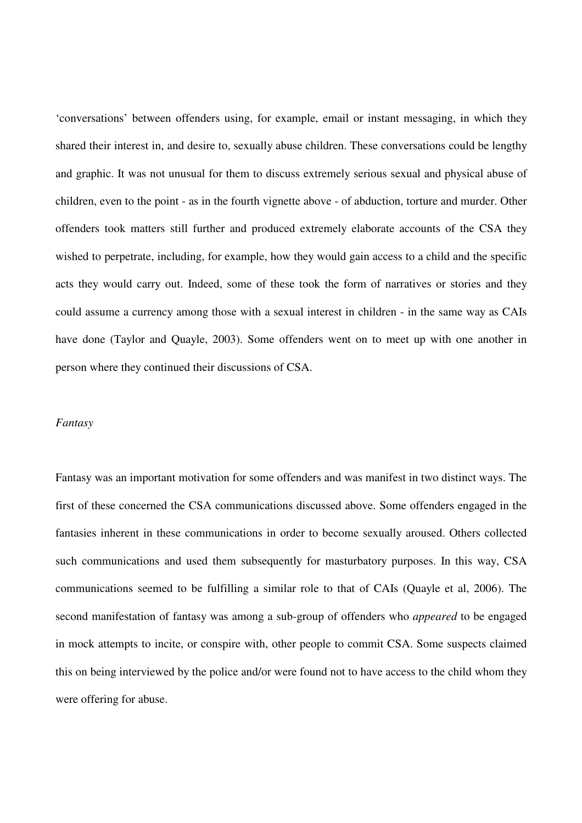'conversations' between offenders using, for example, email or instant messaging, in which they shared their interest in, and desire to, sexually abuse children. These conversations could be lengthy and graphic. It was not unusual for them to discuss extremely serious sexual and physical abuse of children, even to the point - as in the fourth vignette above - of abduction, torture and murder. Other offenders took matters still further and produced extremely elaborate accounts of the CSA they wished to perpetrate, including, for example, how they would gain access to a child and the specific acts they would carry out. Indeed, some of these took the form of narratives or stories and they could assume a currency among those with a sexual interest in children - in the same way as CAIs have done (Taylor and Quayle, 2003). Some offenders went on to meet up with one another in person where they continued their discussions of CSA.

#### *Fantasy*

Fantasy was an important motivation for some offenders and was manifest in two distinct ways. The first of these concerned the CSA communications discussed above. Some offenders engaged in the fantasies inherent in these communications in order to become sexually aroused. Others collected such communications and used them subsequently for masturbatory purposes. In this way, CSA communications seemed to be fulfilling a similar role to that of CAIs (Quayle et al, 2006). The second manifestation of fantasy was among a sub-group of offenders who *appeared* to be engaged in mock attempts to incite, or conspire with, other people to commit CSA. Some suspects claimed this on being interviewed by the police and/or were found not to have access to the child whom they were offering for abuse.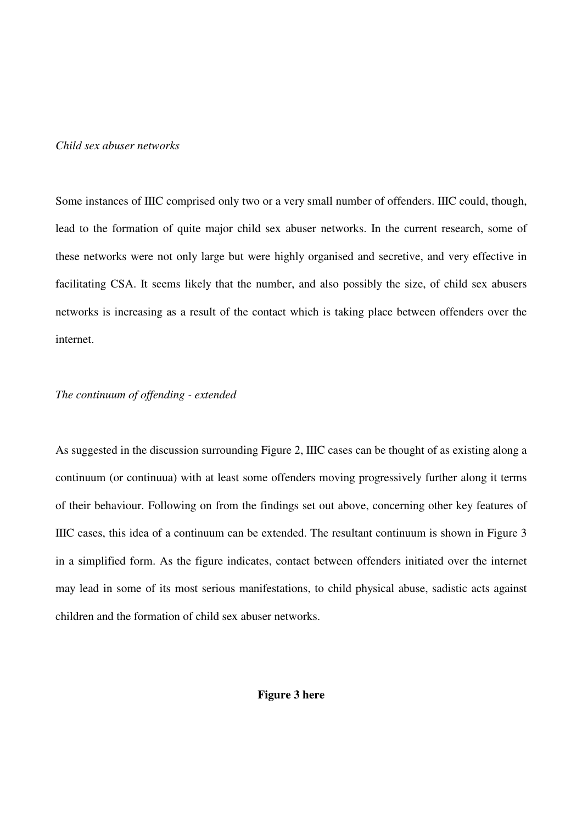# *Child sex abuser networks*

Some instances of IIIC comprised only two or a very small number of offenders. IIIC could, though, lead to the formation of quite major child sex abuser networks. In the current research, some of these networks were not only large but were highly organised and secretive, and very effective in facilitating CSA. It seems likely that the number, and also possibly the size, of child sex abusers networks is increasing as a result of the contact which is taking place between offenders over the internet.

## *The continuum of offending - extended*

As suggested in the discussion surrounding Figure 2, IIIC cases can be thought of as existing along a continuum (or continuua) with at least some offenders moving progressively further along it terms of their behaviour. Following on from the findings set out above, concerning other key features of IIIC cases, this idea of a continuum can be extended. The resultant continuum is shown in Figure 3 in a simplified form. As the figure indicates, contact between offenders initiated over the internet may lead in some of its most serious manifestations, to child physical abuse, sadistic acts against children and the formation of child sex abuser networks.

# **Figure 3 here**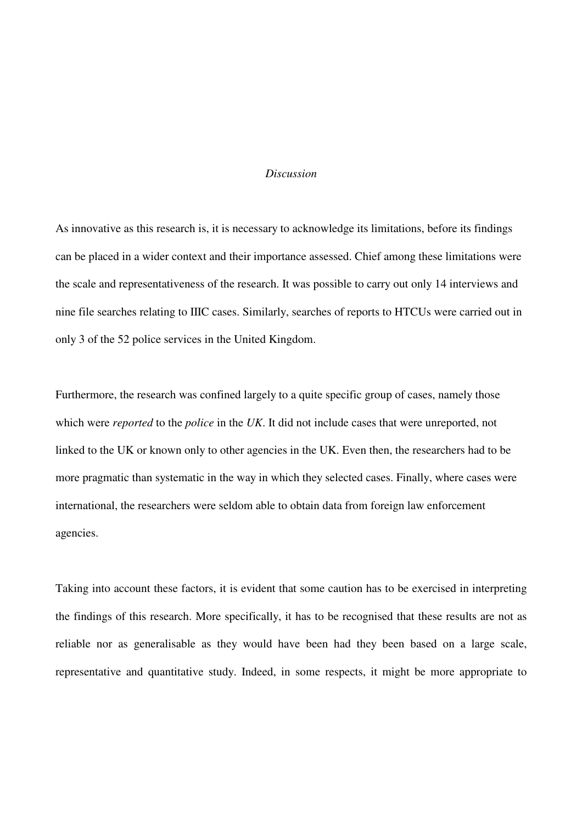#### *Discussion*

As innovative as this research is, it is necessary to acknowledge its limitations, before its findings can be placed in a wider context and their importance assessed. Chief among these limitations were the scale and representativeness of the research. It was possible to carry out only 14 interviews and nine file searches relating to IIIC cases. Similarly, searches of reports to HTCUs were carried out in only 3 of the 52 police services in the United Kingdom.

Furthermore, the research was confined largely to a quite specific group of cases, namely those which were *reported* to the *police* in the *UK*. It did not include cases that were unreported, not linked to the UK or known only to other agencies in the UK. Even then, the researchers had to be more pragmatic than systematic in the way in which they selected cases. Finally, where cases were international, the researchers were seldom able to obtain data from foreign law enforcement agencies.

Taking into account these factors, it is evident that some caution has to be exercised in interpreting the findings of this research. More specifically, it has to be recognised that these results are not as reliable nor as generalisable as they would have been had they been based on a large scale, representative and quantitative study. Indeed, in some respects, it might be more appropriate to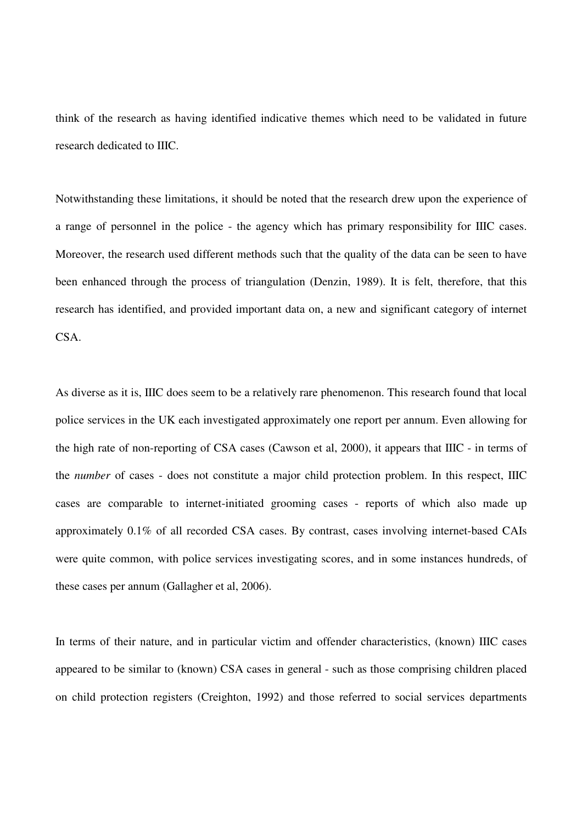think of the research as having identified indicative themes which need to be validated in future research dedicated to IIIC.

Notwithstanding these limitations, it should be noted that the research drew upon the experience of a range of personnel in the police - the agency which has primary responsibility for IIIC cases. Moreover, the research used different methods such that the quality of the data can be seen to have been enhanced through the process of triangulation (Denzin, 1989). It is felt, therefore, that this research has identified, and provided important data on, a new and significant category of internet CSA.

As diverse as it is, IIIC does seem to be a relatively rare phenomenon. This research found that local police services in the UK each investigated approximately one report per annum. Even allowing for the high rate of non-reporting of CSA cases (Cawson et al, 2000), it appears that IIIC - in terms of the *number* of cases - does not constitute a major child protection problem. In this respect, IIIC cases are comparable to internet-initiated grooming cases - reports of which also made up approximately 0.1% of all recorded CSA cases. By contrast, cases involving internet-based CAIs were quite common, with police services investigating scores, and in some instances hundreds, of these cases per annum (Gallagher et al, 2006).

In terms of their nature, and in particular victim and offender characteristics, (known) IIIC cases appeared to be similar to (known) CSA cases in general - such as those comprising children placed on child protection registers (Creighton, 1992) and those referred to social services departments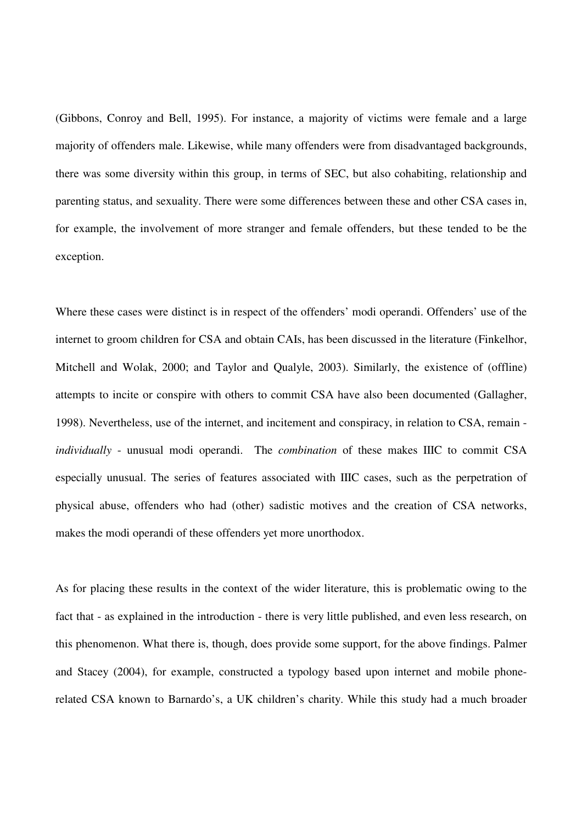(Gibbons, Conroy and Bell, 1995). For instance, a majority of victims were female and a large majority of offenders male. Likewise, while many offenders were from disadvantaged backgrounds, there was some diversity within this group, in terms of SEC, but also cohabiting, relationship and parenting status, and sexuality. There were some differences between these and other CSA cases in, for example, the involvement of more stranger and female offenders, but these tended to be the exception.

Where these cases were distinct is in respect of the offenders' modi operandi. Offenders' use of the internet to groom children for CSA and obtain CAIs, has been discussed in the literature (Finkelhor, Mitchell and Wolak, 2000; and Taylor and Qualyle, 2003). Similarly, the existence of (offline) attempts to incite or conspire with others to commit CSA have also been documented (Gallagher, 1998). Nevertheless, use of the internet, and incitement and conspiracy, in relation to CSA, remain *individually* - unusual modi operandi. The *combination* of these makes IIIC to commit CSA especially unusual. The series of features associated with IIIC cases, such as the perpetration of physical abuse, offenders who had (other) sadistic motives and the creation of CSA networks, makes the modi operandi of these offenders yet more unorthodox.

As for placing these results in the context of the wider literature, this is problematic owing to the fact that - as explained in the introduction - there is very little published, and even less research, on this phenomenon. What there is, though, does provide some support, for the above findings. Palmer and Stacey (2004), for example, constructed a typology based upon internet and mobile phonerelated CSA known to Barnardo's, a UK children's charity. While this study had a much broader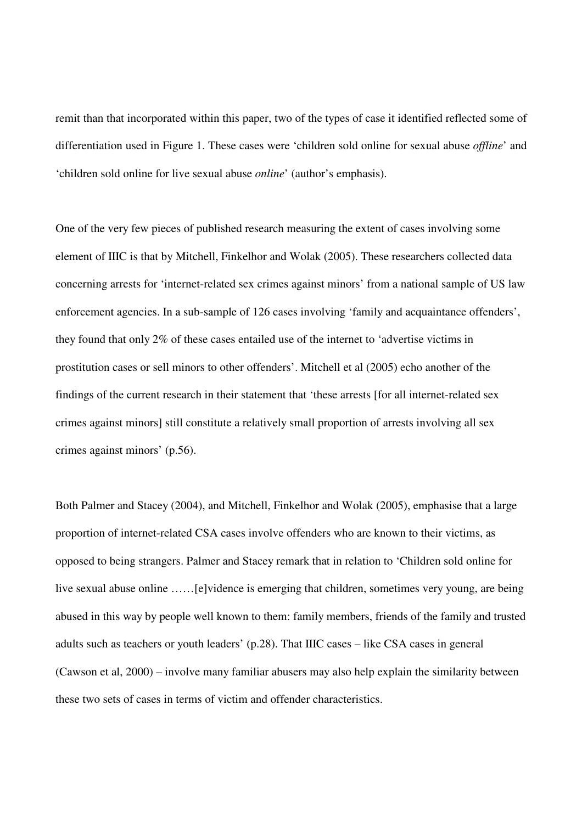remit than that incorporated within this paper, two of the types of case it identified reflected some of differentiation used in Figure 1. These cases were 'children sold online for sexual abuse *offline*' and 'children sold online for live sexual abuse *online*' (author's emphasis).

One of the very few pieces of published research measuring the extent of cases involving some element of IIIC is that by Mitchell, Finkelhor and Wolak (2005). These researchers collected data concerning arrests for 'internet-related sex crimes against minors' from a national sample of US law enforcement agencies. In a sub-sample of 126 cases involving 'family and acquaintance offenders', they found that only 2% of these cases entailed use of the internet to 'advertise victims in prostitution cases or sell minors to other offenders'. Mitchell et al (2005) echo another of the findings of the current research in their statement that 'these arrests [for all internet-related sex crimes against minors] still constitute a relatively small proportion of arrests involving all sex crimes against minors' (p.56).

Both Palmer and Stacey (2004), and Mitchell, Finkelhor and Wolak (2005), emphasise that a large proportion of internet-related CSA cases involve offenders who are known to their victims, as opposed to being strangers. Palmer and Stacey remark that in relation to 'Children sold online for live sexual abuse online ……[e]vidence is emerging that children, sometimes very young, are being abused in this way by people well known to them: family members, friends of the family and trusted adults such as teachers or youth leaders' (p.28). That IIIC cases – like CSA cases in general (Cawson et al, 2000) – involve many familiar abusers may also help explain the similarity between these two sets of cases in terms of victim and offender characteristics.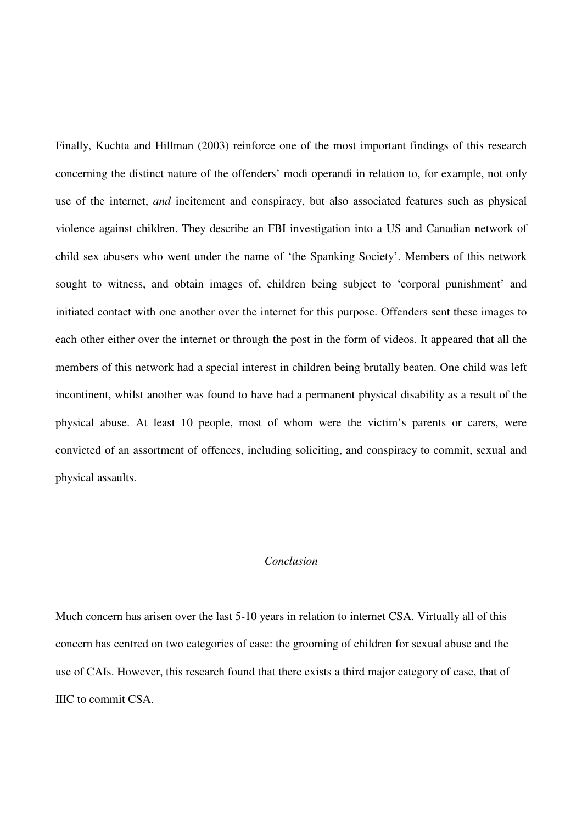Finally, Kuchta and Hillman (2003) reinforce one of the most important findings of this research concerning the distinct nature of the offenders' modi operandi in relation to, for example, not only use of the internet, *and* incitement and conspiracy, but also associated features such as physical violence against children. They describe an FBI investigation into a US and Canadian network of child sex abusers who went under the name of 'the Spanking Society'. Members of this network sought to witness, and obtain images of, children being subject to 'corporal punishment' and initiated contact with one another over the internet for this purpose. Offenders sent these images to each other either over the internet or through the post in the form of videos. It appeared that all the members of this network had a special interest in children being brutally beaten. One child was left incontinent, whilst another was found to have had a permanent physical disability as a result of the physical abuse. At least 10 people, most of whom were the victim's parents or carers, were convicted of an assortment of offences, including soliciting, and conspiracy to commit, sexual and physical assaults.

# *Conclusion*

Much concern has arisen over the last 5-10 years in relation to internet CSA. Virtually all of this concern has centred on two categories of case: the grooming of children for sexual abuse and the use of CAIs. However, this research found that there exists a third major category of case, that of IIIC to commit CSA.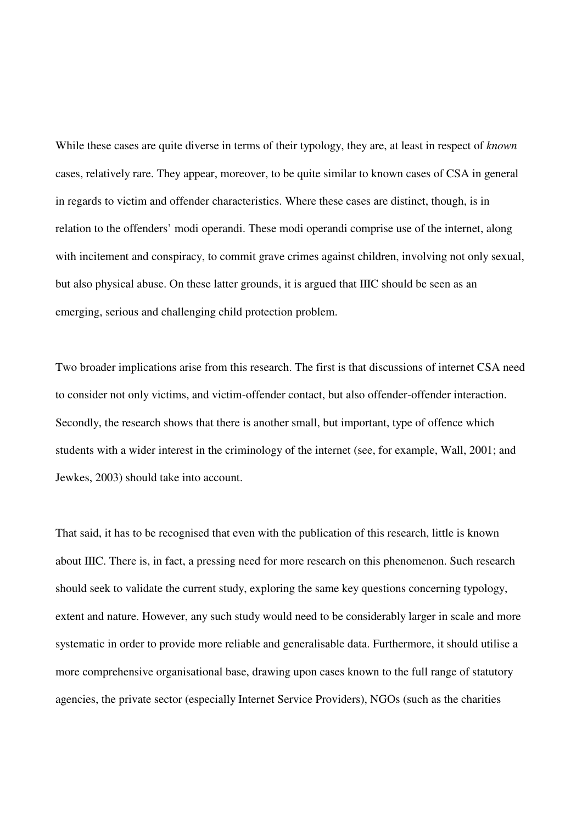While these cases are quite diverse in terms of their typology, they are, at least in respect of *known* cases, relatively rare. They appear, moreover, to be quite similar to known cases of CSA in general in regards to victim and offender characteristics. Where these cases are distinct, though, is in relation to the offenders' modi operandi. These modi operandi comprise use of the internet, along with incitement and conspiracy, to commit grave crimes against children, involving not only sexual, but also physical abuse. On these latter grounds, it is argued that IIIC should be seen as an emerging, serious and challenging child protection problem.

Two broader implications arise from this research. The first is that discussions of internet CSA need to consider not only victims, and victim-offender contact, but also offender-offender interaction. Secondly, the research shows that there is another small, but important, type of offence which students with a wider interest in the criminology of the internet (see, for example, Wall, 2001; and Jewkes, 2003) should take into account.

That said, it has to be recognised that even with the publication of this research, little is known about IIIC. There is, in fact, a pressing need for more research on this phenomenon. Such research should seek to validate the current study, exploring the same key questions concerning typology, extent and nature. However, any such study would need to be considerably larger in scale and more systematic in order to provide more reliable and generalisable data. Furthermore, it should utilise a more comprehensive organisational base, drawing upon cases known to the full range of statutory agencies, the private sector (especially Internet Service Providers), NGOs (such as the charities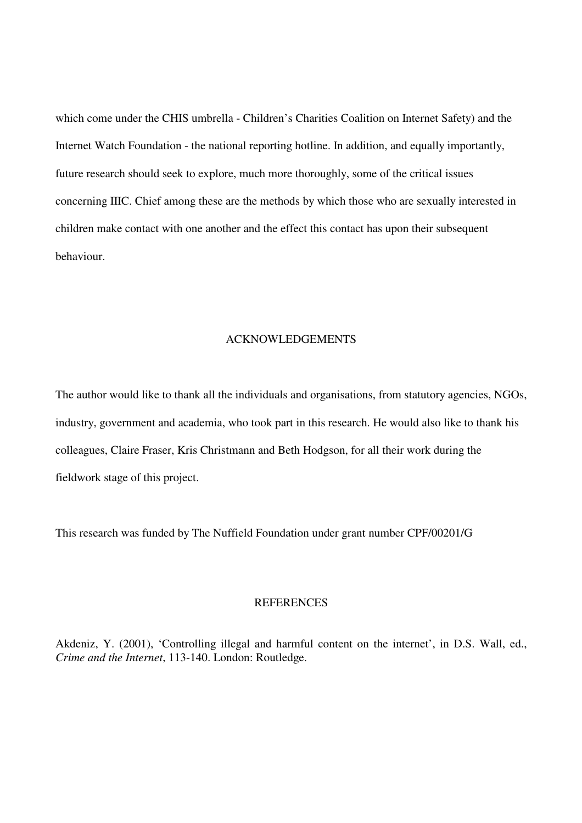which come under the CHIS umbrella - Children's Charities Coalition on Internet Safety) and the Internet Watch Foundation - the national reporting hotline. In addition, and equally importantly, future research should seek to explore, much more thoroughly, some of the critical issues concerning IIIC. Chief among these are the methods by which those who are sexually interested in children make contact with one another and the effect this contact has upon their subsequent behaviour.

# ACKNOWLEDGEMENTS

The author would like to thank all the individuals and organisations, from statutory agencies, NGOs, industry, government and academia, who took part in this research. He would also like to thank his colleagues, Claire Fraser, Kris Christmann and Beth Hodgson, for all their work during the fieldwork stage of this project.

This research was funded by The Nuffield Foundation under grant number CPF/00201/G

#### **REFERENCES**

Akdeniz, Y. (2001), 'Controlling illegal and harmful content on the internet', in D.S. Wall, ed., *Crime and the Internet*, 113-140. London: Routledge.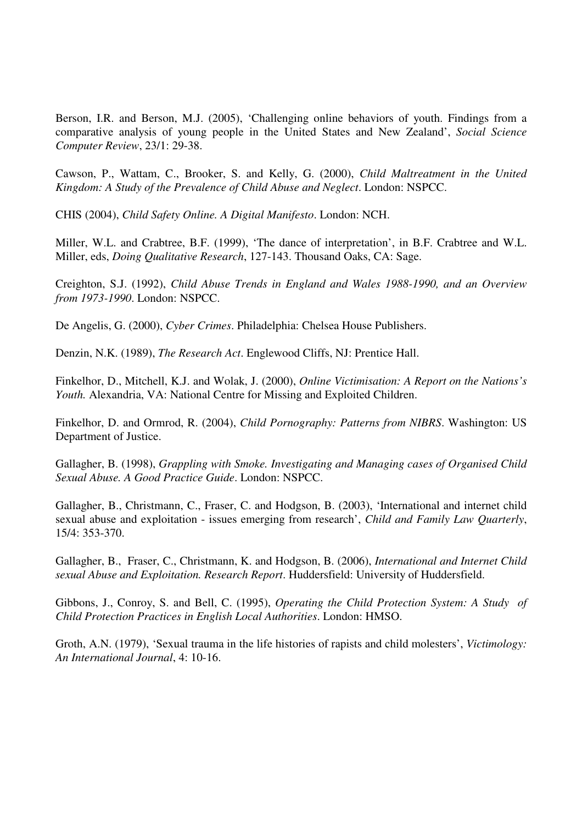Berson, I.R. and Berson, M.J. (2005), 'Challenging online behaviors of youth. Findings from a comparative analysis of young people in the United States and New Zealand', *Social Science Computer Review*, 23/1: 29-38.

Cawson, P., Wattam, C., Brooker, S. and Kelly, G. (2000), *Child Maltreatment in the United Kingdom: A Study of the Prevalence of Child Abuse and Neglect*. London: NSPCC.

CHIS (2004), *Child Safety Online. A Digital Manifesto*. London: NCH.

Miller, W.L. and Crabtree, B.F. (1999), 'The dance of interpretation', in B.F. Crabtree and W.L. Miller, eds, *Doing Qualitative Research*, 127-143. Thousand Oaks, CA: Sage.

Creighton, S.J. (1992), *Child Abuse Trends in England and Wales 1988-1990, and an Overview from 1973-1990*. London: NSPCC.

De Angelis, G. (2000), *Cyber Crimes*. Philadelphia: Chelsea House Publishers.

Denzin, N.K. (1989), *The Research Act*. Englewood Cliffs, NJ: Prentice Hall.

Finkelhor, D., Mitchell, K.J. and Wolak, J. (2000), *Online Victimisation: A Report on the Nations's Youth.* Alexandria, VA: National Centre for Missing and Exploited Children.

Finkelhor, D. and Ormrod, R. (2004), *Child Pornography: Patterns from NIBRS*. Washington: US Department of Justice.

Gallagher, B. (1998), *Grappling with Smoke. Investigating and Managing cases of Organised Child Sexual Abuse. A Good Practice Guide*. London: NSPCC.

Gallagher, B., Christmann, C., Fraser, C. and Hodgson, B. (2003), 'International and internet child sexual abuse and exploitation - issues emerging from research', *Child and Family Law Quarterly*, 15/4: 353-370.

Gallagher, B., Fraser, C., Christmann, K. and Hodgson, B. (2006), *International and Internet Child sexual Abuse and Exploitation. Research Report*. Huddersfield: University of Huddersfield.

Gibbons, J., Conroy, S. and Bell, C. (1995), *Operating the Child Protection System: A Study of Child Protection Practices in English Local Authorities*. London: HMSO.

Groth, A.N. (1979), 'Sexual trauma in the life histories of rapists and child molesters', *Victimology: An International Journal*, 4: 10-16.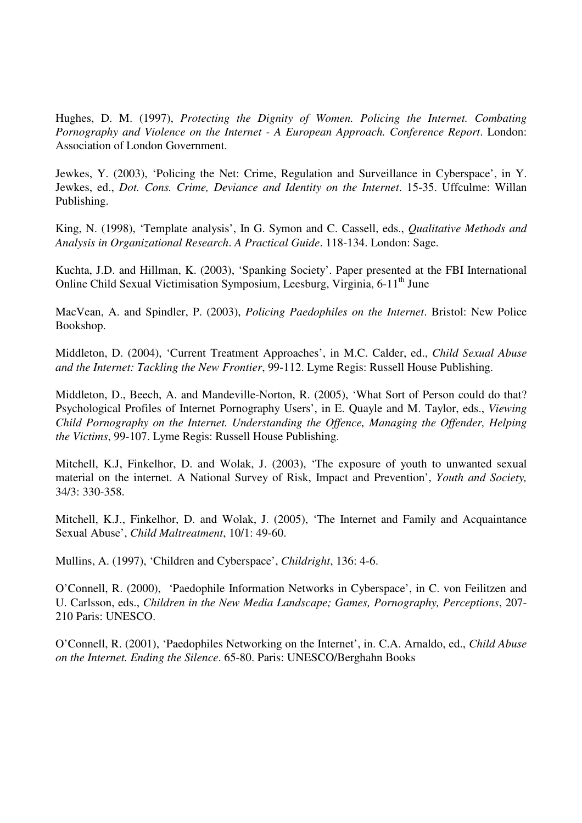Hughes, D. M. (1997), *Protecting the Dignity of Women. Policing the Internet. Combating Pornography and Violence on the Internet - A European Approach. Conference Report*. London: Association of London Government.

Jewkes, Y. (2003), 'Policing the Net: Crime, Regulation and Surveillance in Cyberspace', in Y. Jewkes, ed., *Dot. Cons. Crime, Deviance and Identity on the Internet*. 15-35. Uffculme: Willan Publishing.

King, N. (1998), 'Template analysis', In G. Symon and C. Cassell, eds., *Qualitative Methods and Analysis in Organizational Research*. *A Practical Guide*. 118-134. London: Sage.

Kuchta, J.D. and Hillman, K. (2003), 'Spanking Society'. Paper presented at the FBI International Online Child Sexual Victimisation Symposium, Leesburg, Virginia, 6-11<sup>th</sup> June

MacVean, A. and Spindler, P. (2003), *Policing Paedophiles on the Internet*. Bristol: New Police Bookshop.

Middleton, D. (2004), 'Current Treatment Approaches', in M.C. Calder, ed., *Child Sexual Abuse and the Internet: Tackling the New Frontier*, 99-112. Lyme Regis: Russell House Publishing.

Middleton, D., Beech, A. and Mandeville-Norton, R. (2005), 'What Sort of Person could do that? Psychological Profiles of Internet Pornography Users', in E. Quayle and M. Taylor, eds., *Viewing Child Pornography on the Internet. Understanding the Offence, Managing the Offender, Helping the Victims*, 99-107. Lyme Regis: Russell House Publishing.

Mitchell, K.J, Finkelhor, D. and Wolak, J. (2003), 'The exposure of youth to unwanted sexual material on the internet. A National Survey of Risk, Impact and Prevention', *Youth and Society,* 34/3: 330-358.

Mitchell, K.J., Finkelhor, D. and Wolak, J. (2005), 'The Internet and Family and Acquaintance Sexual Abuse', *Child Maltreatment*, 10/1: 49-60.

Mullins, A. (1997), 'Children and Cyberspace', *Childright*, 136: 4-6.

O'Connell, R. (2000), 'Paedophile Information Networks in Cyberspace', in C. von Feilitzen and U. Carlsson, eds., *Children in the New Media Landscape; Games, Pornography, Perceptions*, 207- 210 Paris: UNESCO.

O'Connell, R. (2001), 'Paedophiles Networking on the Internet', in. C.A. Arnaldo, ed., *Child Abuse on the Internet. Ending the Silence*. 65-80. Paris: UNESCO/Berghahn Books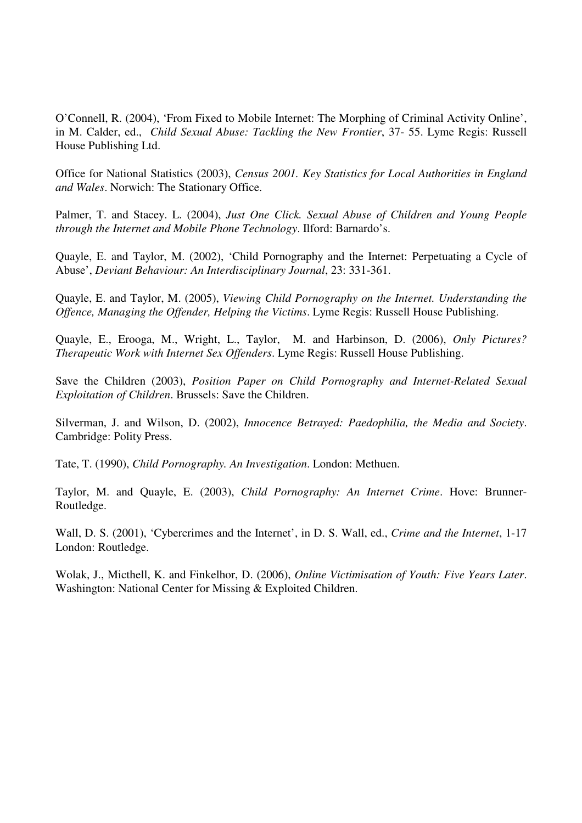O'Connell, R. (2004), 'From Fixed to Mobile Internet: The Morphing of Criminal Activity Online', in M. Calder, ed., *Child Sexual Abuse: Tackling the New Frontier*, 37- 55. Lyme Regis: Russell House Publishing Ltd.

Office for National Statistics (2003), *Census 2001. Key Statistics for Local Authorities in England and Wales*. Norwich: The Stationary Office.

Palmer, T. and Stacey. L. (2004), *Just One Click. Sexual Abuse of Children and Young People through the Internet and Mobile Phone Technology*. Ilford: Barnardo's.

Quayle, E. and Taylor, M. (2002), 'Child Pornography and the Internet: Perpetuating a Cycle of Abuse', *Deviant Behaviour: An Interdisciplinary Journal*, 23: 331-361.

Quayle, E. and Taylor, M. (2005), *Viewing Child Pornography on the Internet. Understanding the Offence, Managing the Offender, Helping the Victims*. Lyme Regis: Russell House Publishing.

Quayle, E., Erooga, M., Wright, L., Taylor, M. and Harbinson, D. (2006), *Only Pictures? Therapeutic Work with Internet Sex Offenders*. Lyme Regis: Russell House Publishing.

Save the Children (2003), *Position Paper on Child Pornography and Internet-Related Sexual Exploitation of Children*. Brussels: Save the Children.

Silverman, J. and Wilson, D. (2002), *Innocence Betrayed: Paedophilia, the Media and Society*. Cambridge: Polity Press.

Tate, T. (1990), *Child Pornography. An Investigation*. London: Methuen.

Taylor, M. and Quayle, E. (2003), *Child Pornography: An Internet Crime*. Hove: Brunner-Routledge.

Wall, D. S. (2001), 'Cybercrimes and the Internet', in D. S. Wall, ed., *Crime and the Internet*, 1-17 London: Routledge.

Wolak, J., Micthell, K. and Finkelhor, D. (2006), *Online Victimisation of Youth: Five Years Later*. Washington: National Center for Missing & Exploited Children.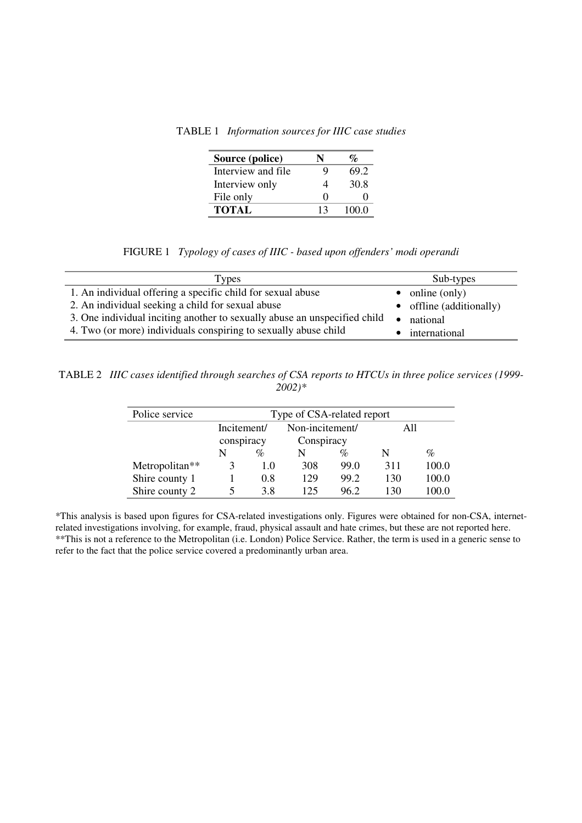TABLE 1 *Information sources for IIIC case studies* 

| Source (police)     |                   | $\mathcal{O}_{\mathcal{O}}$ |
|---------------------|-------------------|-----------------------------|
| Interview and file. | Q                 | 69.2                        |
| Interview only      |                   | 30.8                        |
| File only           | $\mathbf{\Omega}$ | $\mathbf{\Omega}$           |
| <b>TOTAL</b>        | 13                | 100.0                       |

FIGURE 1 *Typology of cases of IIIC - based upon offenders' modi operandi* 

| <b>Types</b>                                                              | Sub-types                        |
|---------------------------------------------------------------------------|----------------------------------|
| 1. An individual offering a specific child for sexual abuse               | $\bullet$ online (only)          |
| 2. An individual seeking a child for sexual abuse                         | $\bullet$ offline (additionally) |
| 3. One individual inciting another to sexually abuse an unspecified child | national                         |
| 4. Two (or more) individuals conspiring to sexually abuse child           | international                    |

TABLE 2*IIIC cases identified through searches of CSA reports to HTCUs in three police services (1999- 2002)\** 

| Police service | Type of CSA-related report |     |                 |      |     |       |
|----------------|----------------------------|-----|-----------------|------|-----|-------|
|                | Incitement/                |     | Non-incitement/ |      | All |       |
|                | conspiracy                 |     | Conspiracy      |      |     |       |
|                | N                          | %   | N               | %    | N   | %     |
| Metropolitan** | 3                          | 1.0 | 308             | 99.0 | 311 | 100.0 |
| Shire county 1 |                            | 0.8 | 129             | 99.2 | 130 | 100.0 |
| Shire county 2 |                            | 3.8 | 125             | 96.2 | 130 | 100.0 |

\*This analysis is based upon figures for CSA-related investigations only. Figures were obtained for non-CSA, internetrelated investigations involving, for example, fraud, physical assault and hate crimes, but these are not reported here. \*\*This is not a reference to the Metropolitan (i.e. London) Police Service. Rather, the term is used in a generic sense to refer to the fact that the police service covered a predominantly urban area.